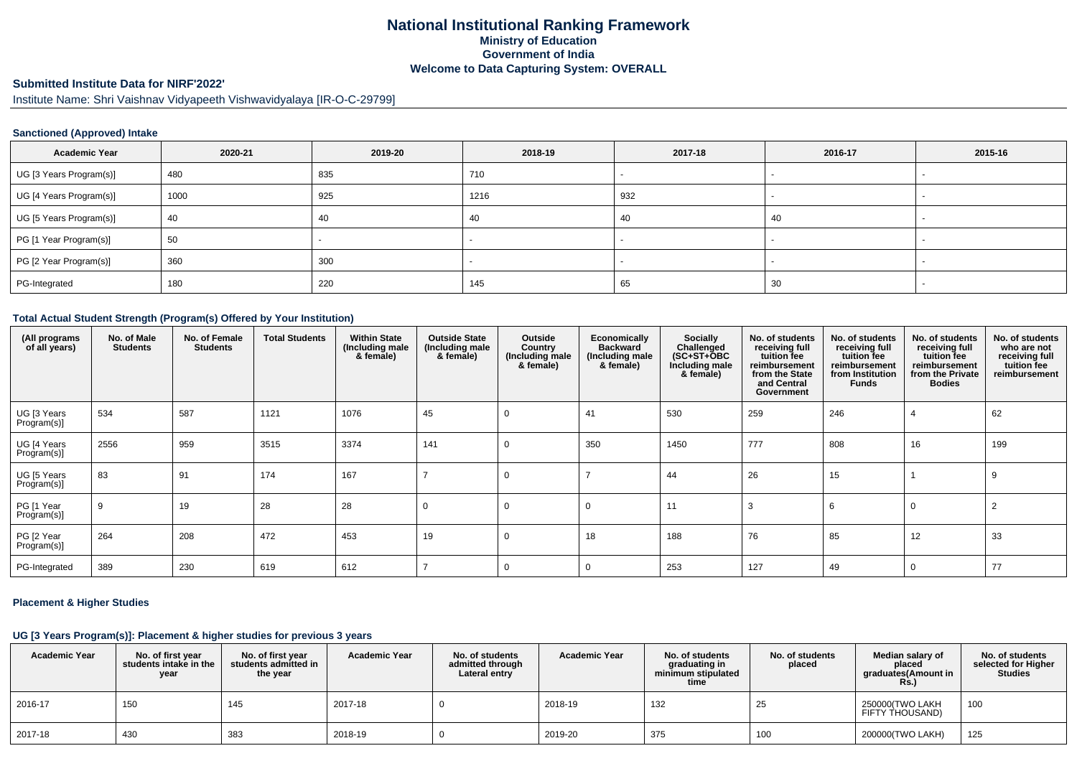# **National Institutional Ranking FrameworkMinistry of Education Government of IndiaWelcome to Data Capturing System: OVERALL**

# **Submitted Institute Data for NIRF'2022'**

Institute Name: Shri Vaishnav Vidyapeeth Vishwavidyalaya [IR-O-C-29799]

## **Sanctioned (Approved) Intake**

| <b>Academic Year</b>    | 2020-21 | 2019-20 | 2018-19 | 2017-18 | 2016-17                  | 2015-16 |
|-------------------------|---------|---------|---------|---------|--------------------------|---------|
| UG [3 Years Program(s)] | 480     | 835     | 710     |         | $\overline{\phantom{0}}$ |         |
| UG [4 Years Program(s)] | 1000    | 925     | 1216    | 932     |                          |         |
| UG [5 Years Program(s)] | 40      | -40     | -40     | 40      | 40                       |         |
| PG [1 Year Program(s)]  | 50      |         |         |         |                          |         |
| PG [2 Year Program(s)]  | 360     | 300     |         |         |                          |         |
| PG-Integrated           | 180     | 220     | 145     | 65      | 30                       |         |

#### **Total Actual Student Strength (Program(s) Offered by Your Institution)**

| (All programs<br>of all years) | No. of Male<br><b>Students</b> | No. of Female<br><b>Students</b> | <b>Total Students</b> | <b>Within State</b><br>(Including male<br>& female) | <b>Outside State</b><br>(Including male<br>& female) | Outside<br>Country<br>(Including male<br>& female) | <b>Economically</b><br><b>Backward</b><br>(Including male<br>& female) | Socially<br>Challenged<br>$(SC+ST+ÖBC)$<br>Including male<br>& female) | No. of students<br>receiving full<br>tuition fee<br>reimbursement<br>from the State<br>and Central<br>Government | No. of students<br>receiving full<br>tuition fee<br>reimbursement<br>from Institution<br><b>Funds</b> | No. of students<br>receiving full<br>tuition fee<br>reimbursement<br>from the Private<br><b>Bodies</b> | No. of students<br>who are not<br>receiving full<br>tuition fee<br>reimbursement |
|--------------------------------|--------------------------------|----------------------------------|-----------------------|-----------------------------------------------------|------------------------------------------------------|----------------------------------------------------|------------------------------------------------------------------------|------------------------------------------------------------------------|------------------------------------------------------------------------------------------------------------------|-------------------------------------------------------------------------------------------------------|--------------------------------------------------------------------------------------------------------|----------------------------------------------------------------------------------|
| UG [3 Years<br>Program(s)]     | 534                            | 587                              | 1121                  | 1076                                                | 45                                                   | 0                                                  | 41                                                                     | 530                                                                    | 259                                                                                                              | 246                                                                                                   | 4                                                                                                      | 62                                                                               |
| UG [4 Years<br>Program(s)]     | 2556                           | 959                              | 3515                  | 3374                                                | 141                                                  | $\mathbf 0$                                        | 350                                                                    | 1450                                                                   | 777                                                                                                              | 808                                                                                                   | 16                                                                                                     | 199                                                                              |
| UG [5 Years<br>Program(s)]     | 83                             | 91                               | 174                   | 167                                                 |                                                      | $\Omega$                                           |                                                                        | 44                                                                     | 26                                                                                                               | 15                                                                                                    |                                                                                                        | -9                                                                               |
| PG [1 Year<br>Program(s)]      | 9                              | 19                               | 28                    | 28                                                  | 0                                                    | 0                                                  | -0                                                                     | 11                                                                     | 3                                                                                                                |                                                                                                       |                                                                                                        | $\overline{2}$                                                                   |
| PG [2 Year<br>Program(s)]      | 264                            | 208                              | 472                   | 453                                                 | 19                                                   | 0                                                  | 18                                                                     | 188                                                                    | 76                                                                                                               | 85                                                                                                    | 12                                                                                                     | 33                                                                               |
| PG-Integrated                  | 389                            | 230                              | 619                   | 612                                                 |                                                      | 0                                                  | $\Omega$                                                               | 253                                                                    | 127                                                                                                              | 49                                                                                                    | റ                                                                                                      | 77                                                                               |

## **Placement & Higher Studies**

#### **UG [3 Years Program(s)]: Placement & higher studies for previous 3 years**

| <b>Academic Year</b> | No. of first year<br>students intake in the<br>year | No. of first year<br>students admitted in<br>the year | <b>Academic Year</b> | No. of students<br>admitted through<br>Lateral entry | <b>Academic Year</b> | No. of students<br>graduating in<br>minimum stipulated<br>time | No. of students<br>placed | Median salary of<br>placed<br>graduates(Amount in<br><b>Rs.</b> ) | No. of students<br>selected for Higher<br><b>Studies</b> |
|----------------------|-----------------------------------------------------|-------------------------------------------------------|----------------------|------------------------------------------------------|----------------------|----------------------------------------------------------------|---------------------------|-------------------------------------------------------------------|----------------------------------------------------------|
| $12016 - 17$         | 150                                                 | 145                                                   | 2017-18              |                                                      | 2018-19              | 132                                                            | ΣU                        | 250000(TWO LAKH<br>FIFTY THOUSAND)                                | 100                                                      |
| 2017-18              | 430                                                 | 383                                                   | 2018-19              |                                                      | 2019-20              | 375                                                            | 100                       | 200000(TWO LAKH)                                                  | 125                                                      |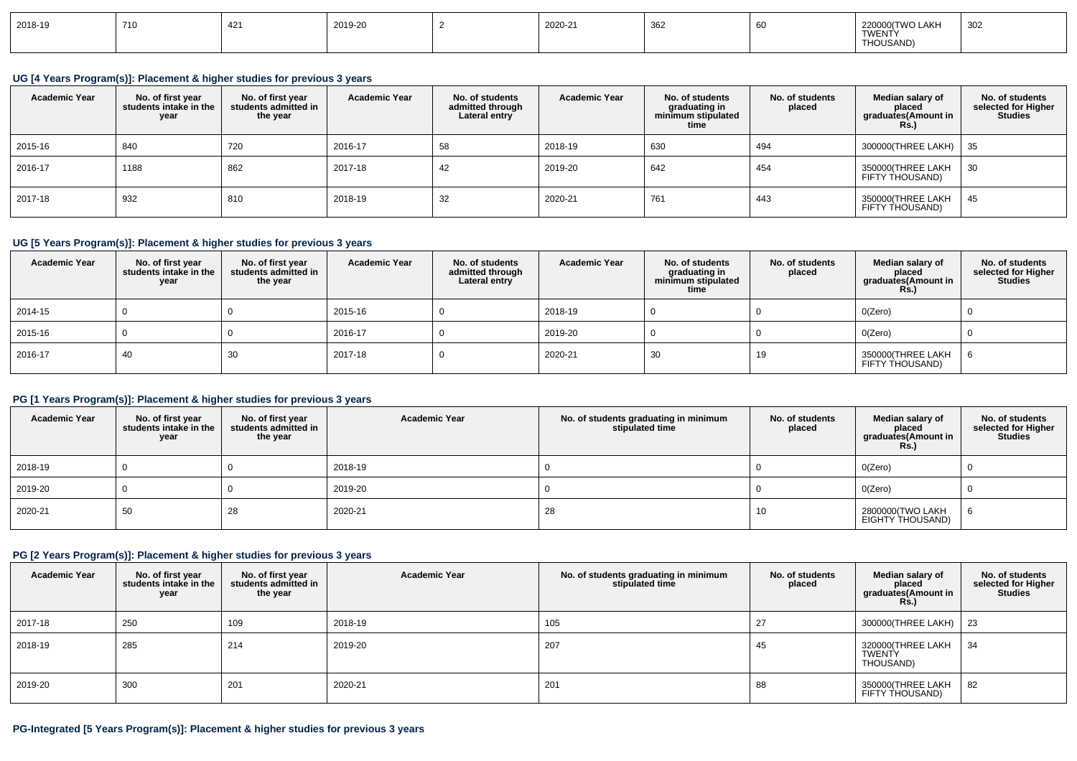| 2018-19 | 710 | $\overline{A}$ | 2019-20 |  | 2020-21 | 362 |  | 00/TWO LAKH<br>220000(<br>TWENTY<br>THOUSAND) | 302 |
|---------|-----|----------------|---------|--|---------|-----|--|-----------------------------------------------|-----|
|---------|-----|----------------|---------|--|---------|-----|--|-----------------------------------------------|-----|

## **UG [4 Years Program(s)]: Placement & higher studies for previous 3 years**

| <b>Academic Year</b> | No. of first year<br>students intake in the<br>year | No. of first year<br>students admitted in<br>the year | <b>Academic Year</b> | No. of students<br>admitted through<br>Lateral entry | <b>Academic Year</b> | No. of students<br>graduating in<br>minimum stipulated<br>time | No. of students<br>placed | Median salary of<br>placed<br>graduates(Amount in<br><b>Rs.)</b> | No. of students<br>selected for Higher<br><b>Studies</b> |
|----------------------|-----------------------------------------------------|-------------------------------------------------------|----------------------|------------------------------------------------------|----------------------|----------------------------------------------------------------|---------------------------|------------------------------------------------------------------|----------------------------------------------------------|
| 2015-16              | 840                                                 | 720                                                   | 2016-17              | 58                                                   | 2018-19              | 630                                                            | 494                       | 300000(THREE LAKH)                                               | -35                                                      |
| 2016-17              | 1188                                                | 862                                                   | 2017-18              | 42                                                   | 2019-20              | 642                                                            | 454                       | 350000(THREE LAKH<br>FIFTY THOUSAND)                             | 30                                                       |
| 2017-18              | 932                                                 | 810                                                   | 2018-19              | 32                                                   | 2020-21              | 761                                                            | 443                       | 350000(THREE LAKH<br>FIFTY THOUSAND)                             | 45                                                       |

## **UG [5 Years Program(s)]: Placement & higher studies for previous 3 years**

| <b>Academic Year</b> | No. of first year<br>students intake in the<br>year | No. of first vear<br>students admitted in<br>the year | <b>Academic Year</b> | No. of students<br>admitted through<br>Lateral entry | <b>Academic Year</b> | No. of students<br>graduating in<br>minimum stipulated<br>time | No. of students<br>placed | Median salary of<br>placed<br>graduates(Amount in<br><b>Rs.</b> ) | No. of students<br>selected for Higher<br><b>Studies</b> |
|----------------------|-----------------------------------------------------|-------------------------------------------------------|----------------------|------------------------------------------------------|----------------------|----------------------------------------------------------------|---------------------------|-------------------------------------------------------------------|----------------------------------------------------------|
| 2014-15              |                                                     |                                                       | 2015-16              |                                                      | 2018-19              |                                                                |                           | O(Zero)                                                           |                                                          |
| 2015-16              |                                                     |                                                       | 2016-17              |                                                      | 2019-20              |                                                                |                           | O(Zero)                                                           |                                                          |
| 2016-17              | 40                                                  | 30                                                    | 2017-18              |                                                      | 2020-21              | 30                                                             | 19                        | 350000(THREE LAKH<br>FIFTY THOUSAND)                              |                                                          |

# **PG [1 Years Program(s)]: Placement & higher studies for previous 3 years**

| <b>Academic Year</b> | No. of first year<br>students intake in the<br>year | No. of first year<br>students admitted in<br>the year | <b>Academic Year</b> | No. of students graduating in minimum<br>stipulated time | No. of students<br>placed | Median salary of<br>placed<br>graduates(Amount in<br><b>Rs.)</b> | No. of students<br>selected for Higher<br><b>Studies</b> |
|----------------------|-----------------------------------------------------|-------------------------------------------------------|----------------------|----------------------------------------------------------|---------------------------|------------------------------------------------------------------|----------------------------------------------------------|
| 2018-19              |                                                     |                                                       | 2018-19              |                                                          |                           | O(Zero)                                                          |                                                          |
| 2019-20              |                                                     |                                                       | 2019-20              |                                                          |                           | O(Zero)                                                          |                                                          |
| 2020-21              | 50                                                  | 28                                                    | 2020-21              | 28                                                       | 10                        | 2800000(TWO LAKH<br>EIGHTY THOUSAND)                             |                                                          |

## **PG [2 Years Program(s)]: Placement & higher studies for previous 3 years**

| <b>Academic Year</b> | No. of first year<br>students intake in the<br>year | No. of first year<br>students admitted in<br>the year | <b>Academic Year</b> | No. of students graduating in minimum<br>stipulated time | No. of students<br>placed | Median salary of<br>placed<br>graduates(Amount in<br><b>Rs.)</b> | No. of students<br>selected for Higher<br><b>Studies</b> |
|----------------------|-----------------------------------------------------|-------------------------------------------------------|----------------------|----------------------------------------------------------|---------------------------|------------------------------------------------------------------|----------------------------------------------------------|
| 2017-18              | 250                                                 | 109                                                   | 2018-19              | 105                                                      | 27                        | 300000(THREE LAKH)   23                                          |                                                          |
| 2018-19              | 285                                                 | 214                                                   | 2019-20              | 207                                                      | 45                        | 320000(THREE LAKH<br>TWENTY<br>THOUSAND)                         | 34                                                       |
| 2019-20              | 300                                                 | 201                                                   | 2020-21              | 201                                                      | 88                        | 350000(THREE LAKH<br>FIFTY THOUSAND)                             | 82                                                       |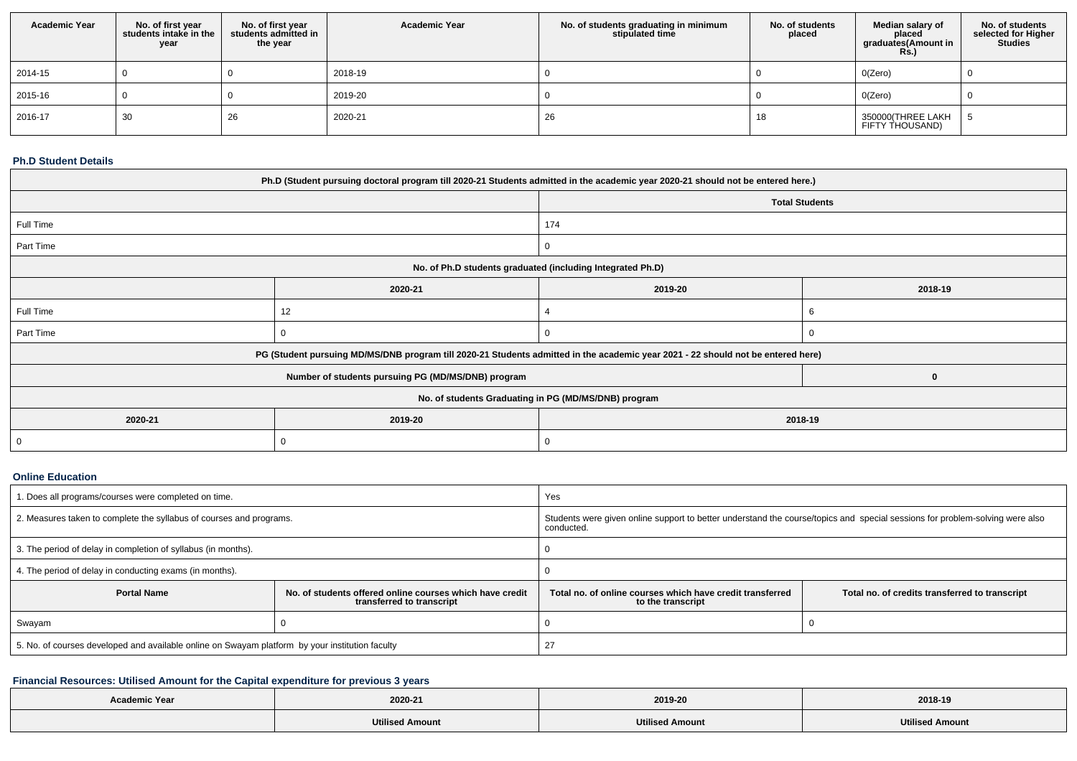| <b>Academic Year</b> | No. of first year<br>students intake in the<br>year | No. of first vear<br>students admitted in<br>the year | <b>Academic Year</b> | No. of students graduating in minimum<br>stipulated time | No. of students<br>placed | Median salary of<br>placed<br>graduates(Amount in<br><b>Rs.)</b> | No. of students<br>selected for Higher<br><b>Studies</b> |
|----------------------|-----------------------------------------------------|-------------------------------------------------------|----------------------|----------------------------------------------------------|---------------------------|------------------------------------------------------------------|----------------------------------------------------------|
| 2014-15              |                                                     |                                                       | 2018-19              |                                                          |                           | O(Zero)                                                          |                                                          |
| 2015-16              |                                                     |                                                       | 2019-20              |                                                          |                           | O(Zero)                                                          |                                                          |
| 2016-17              | 30                                                  | 26                                                    | 2020-21              | 26                                                       | 18                        | 350000(THREE LAKH<br>FIFTY THOUSAND)                             |                                                          |

## **Ph.D Student Details**

| Ph.D (Student pursuing doctoral program till 2020-21 Students admitted in the academic year 2020-21 should not be entered here.) |                                                                                                                                  |                                                            |          |  |  |  |  |
|----------------------------------------------------------------------------------------------------------------------------------|----------------------------------------------------------------------------------------------------------------------------------|------------------------------------------------------------|----------|--|--|--|--|
|                                                                                                                                  | <b>Total Students</b>                                                                                                            |                                                            |          |  |  |  |  |
| Full Time                                                                                                                        |                                                                                                                                  | 174                                                        |          |  |  |  |  |
| Part Time                                                                                                                        |                                                                                                                                  | 0                                                          |          |  |  |  |  |
|                                                                                                                                  |                                                                                                                                  | No. of Ph.D students graduated (including Integrated Ph.D) |          |  |  |  |  |
|                                                                                                                                  | 2020-21                                                                                                                          | 2019-20                                                    | 2018-19  |  |  |  |  |
| Full Time                                                                                                                        | 12                                                                                                                               |                                                            |          |  |  |  |  |
| Part Time                                                                                                                        |                                                                                                                                  | $\Omega$                                                   |          |  |  |  |  |
|                                                                                                                                  | PG (Student pursuing MD/MS/DNB program till 2020-21 Students admitted in the academic year 2021 - 22 should not be entered here) |                                                            |          |  |  |  |  |
|                                                                                                                                  | Number of students pursuing PG (MD/MS/DNB) program                                                                               |                                                            | $\bf{0}$ |  |  |  |  |
| No. of students Graduating in PG (MD/MS/DNB) program                                                                             |                                                                                                                                  |                                                            |          |  |  |  |  |
| 2020-21                                                                                                                          | 2019-20<br>2018-19                                                                                                               |                                                            |          |  |  |  |  |
| $\mathbf 0$                                                                                                                      |                                                                                                                                  |                                                            |          |  |  |  |  |

## **Online Education**

| 1. Does all programs/courses were completed on time.                                            |                                                                                       | Yes                                                                                                                                        |                                                |  |  |  |
|-------------------------------------------------------------------------------------------------|---------------------------------------------------------------------------------------|--------------------------------------------------------------------------------------------------------------------------------------------|------------------------------------------------|--|--|--|
| 2. Measures taken to complete the syllabus of courses and programs.                             |                                                                                       | Students were given online support to better understand the course/topics and special sessions for problem-solving were also<br>conducted. |                                                |  |  |  |
| 3. The period of delay in completion of syllabus (in months).                                   |                                                                                       |                                                                                                                                            |                                                |  |  |  |
| 4. The period of delay in conducting exams (in months).                                         |                                                                                       |                                                                                                                                            |                                                |  |  |  |
| <b>Portal Name</b>                                                                              | No. of students offered online courses which have credit<br>transferred to transcript | Total no, of online courses which have credit transferred<br>to the transcript                                                             | Total no. of credits transferred to transcript |  |  |  |
| Swayam                                                                                          |                                                                                       |                                                                                                                                            |                                                |  |  |  |
| 5. No. of courses developed and available online on Swayam platform by your institution faculty |                                                                                       |                                                                                                                                            |                                                |  |  |  |

# **Financial Resources: Utilised Amount for the Capital expenditure for previous 3 years**

| <b>Academic Year</b> | 2020-21                | 2019-20                | 2018-19                |
|----------------------|------------------------|------------------------|------------------------|
|                      | <b>Utilised Amount</b> | <b>Utilised Amount</b> | <b>Utilised Amount</b> |
|                      |                        |                        |                        |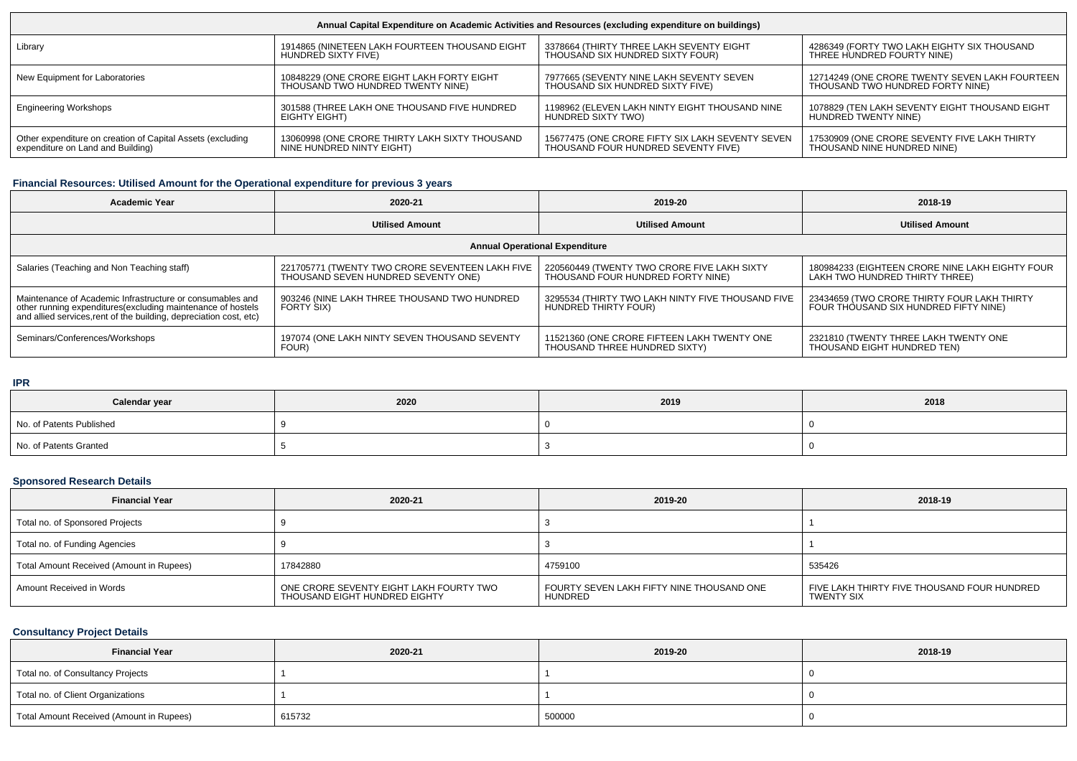| Annual Capital Expenditure on Academic Activities and Resources (excluding expenditure on buildings) |                                                |                                                  |                                                |  |  |  |  |
|------------------------------------------------------------------------------------------------------|------------------------------------------------|--------------------------------------------------|------------------------------------------------|--|--|--|--|
| Library                                                                                              | 1914865 (NINETEEN LAKH FOURTEEN THOUSAND EIGHT | 3378664 (THIRTY THREE LAKH SEVENTY EIGHT         | 4286349 (FORTY TWO LAKH EIGHTY SIX THOUSAND    |  |  |  |  |
|                                                                                                      | HUNDRED SIXTY FIVE)                            | THOUSAND SIX HUNDRED SIXTY FOUR)                 | THREE HUNDRED FOURTY NINE)                     |  |  |  |  |
| New Equipment for Laboratories                                                                       | 10848229 (ONE CRORE EIGHT LAKH FORTY EIGHT     | 7977665 (SEVENTY NINE LAKH SEVENTY SEVEN         | 12714249 (ONE CRORE TWENTY SEVEN LAKH FOURTEEN |  |  |  |  |
|                                                                                                      | THOUSAND TWO HUNDRED TWENTY NINE)              | THOUSAND SIX HUNDRED SIXTY FIVE)                 | THOUSAND TWO HUNDRED FORTY NINE)               |  |  |  |  |
| <b>Engineering Workshops</b>                                                                         | 301588 (THREE LAKH ONE THOUSAND FIVE HUNDRED   | 1198962 (ELEVEN LAKH NINTY EIGHT THOUSAND NINE   | 1078829 (TEN LAKH SEVENTY EIGHT THOUSAND EIGHT |  |  |  |  |
|                                                                                                      | EIGHTY EIGHT)                                  | HUNDRED SIXTY TWO)                               | HUNDRED TWENTY NINE)                           |  |  |  |  |
| Other expenditure on creation of Capital Assets (excluding                                           | 13060998 (ONE CRORE THIRTY LAKH SIXTY THOUSAND | 15677475 (ONE CRORE FIFTY SIX LAKH SEVENTY SEVEN | 17530909 (ONE CRORE SEVENTY FIVE LAKH THIRTY   |  |  |  |  |
| expenditure on Land and Building)                                                                    | NINE HUNDRED NINTY EIGHT)                      | THOUSAND FOUR HUNDRED SEVENTY FIVE)              | THOUSAND NINE HUNDRED NINE)                    |  |  |  |  |

## **Financial Resources: Utilised Amount for the Operational expenditure for previous 3 years**

| <b>Academic Year</b>                                                                                                               | 2020-21                                         | 2019-20                                     | 2018-19                                         |  |
|------------------------------------------------------------------------------------------------------------------------------------|-------------------------------------------------|---------------------------------------------|-------------------------------------------------|--|
|                                                                                                                                    | <b>Utilised Amount</b>                          | <b>Utilised Amount</b>                      | <b>Utilised Amount</b>                          |  |
|                                                                                                                                    |                                                 | <b>Annual Operational Expenditure</b>       |                                                 |  |
| Salaries (Teaching and Non Teaching staff)                                                                                         | 221705771 (TWENTY TWO CRORE SEVENTEEN LAKH FIVE | 220560449 (TWENTY TWO CRORE FIVE LAKH SIXTY | 180984233 (EIGHTEEN CRORE NINE LAKH EIGHTY FOUR |  |
|                                                                                                                                    | THOUSAND SEVEN HUNDRED SEVENTY ONE)             | THOUSAND FOUR HUNDRED FORTY NINE)           | LAKH TWO HUNDRED THIRTY THREE)                  |  |
| Maintenance of Academic Infrastructure or consumables and                                                                          | 903246 (NINE LAKH THREE THOUSAND TWO HUNDRED    |                                             | 23434659 (TWO CRORE THIRTY FOUR LAKH THIRTY     |  |
| other running expenditures (excluding maintenance of hostels<br>and allied services, rent of the building, depreciation cost, etc) | FORTY SIX)                                      |                                             | FOUR THOUSAND SIX HUNDRED FIFTY NINE)           |  |
| Seminars/Conferences/Workshops                                                                                                     | 197074 (ONE LAKH NINTY SEVEN THOUSAND SEVENTY   | 11521360 (ONE CRORE FIFTEEN LAKH TWENTY ONE | 2321810 (TWENTY THREE LAKH TWENTY ONE           |  |
|                                                                                                                                    | FOUR)                                           | THOUSAND THREE HUNDRED SIXTY)               | THOUSAND EIGHT HUNDRED TEN)                     |  |

#### **IPR**

| .<br>Calendar year       | 2020 | 2019 | 2018 |  |
|--------------------------|------|------|------|--|
| No. of Patents Published |      |      |      |  |
| No. of Patents Granted   |      |      |      |  |

# **Sponsored Research Details**

| <b>Financial Year</b>                    | 2020-21                                                                  | 2019-20                                              | 2018-19                                                          |  |
|------------------------------------------|--------------------------------------------------------------------------|------------------------------------------------------|------------------------------------------------------------------|--|
| Total no. of Sponsored Projects          |                                                                          |                                                      |                                                                  |  |
| Total no. of Funding Agencies            |                                                                          |                                                      |                                                                  |  |
| Total Amount Received (Amount in Rupees) | 17842880                                                                 | 4759100                                              | 535426                                                           |  |
| Amount Received in Words                 | ONE CRORE SEVENTY EIGHT LAKH FOURTY TWO<br>THOUSAND EIGHT HUNDRED EIGHTY | FOURTY SEVEN LAKH FIFTY NINE THOUSAND ONE<br>HUNDRED | FIVE LAKH THIRTY FIVE THOUSAND FOUR HUNDRED<br><b>TWENTY SIX</b> |  |

# **Consultancy Project Details**

| <b>Financial Year</b>                    | 2020-21 | 2019-20 | 2018-19 |
|------------------------------------------|---------|---------|---------|
| Total no. of Consultancy Projects        |         |         |         |
| Total no. of Client Organizations        |         |         |         |
| Total Amount Received (Amount in Rupees) | 615732  | 500000  |         |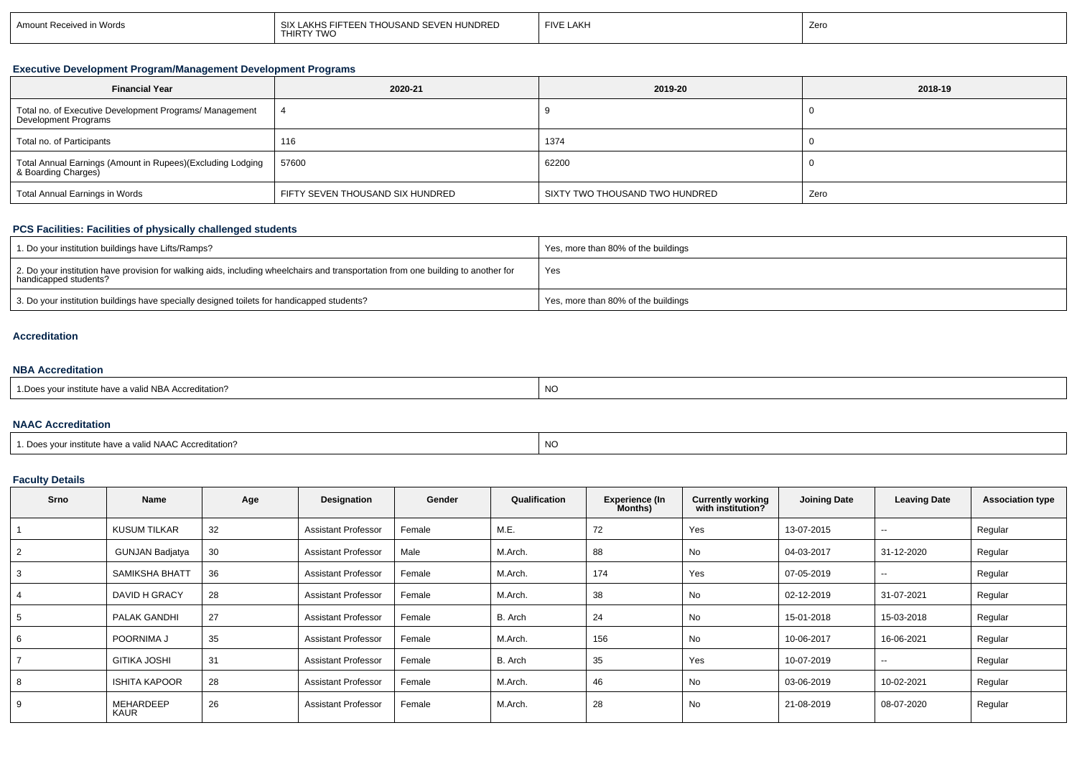| Amount Received in Words | I SIX LAKHS FIFTEEN THOUSAND SEVEN HUNDRED<br>THIRTY TWO | <b>FIVE LAKH</b> | Zerc |
|--------------------------|----------------------------------------------------------|------------------|------|
|                          |                                                          |                  |      |

## **Executive Development Program/Management Development Programs**

| <b>Financial Year</b>                                                             | 2020-21                          | 2019-20                        | 2018-19 |
|-----------------------------------------------------------------------------------|----------------------------------|--------------------------------|---------|
| Total no. of Executive Development Programs/ Management<br>Development Programs   |                                  |                                |         |
| Total no. of Participants                                                         | 116                              | 1374                           |         |
| Total Annual Earnings (Amount in Rupees)(Excluding Lodging<br>& Boarding Charges) | 57600                            | 62200                          |         |
| Total Annual Earnings in Words                                                    | FIFTY SEVEN THOUSAND SIX HUNDRED | SIXTY TWO THOUSAND TWO HUNDRED | Zero    |

## **PCS Facilities: Facilities of physically challenged students**

| 1. Do your institution buildings have Lifts/Ramps?                                                                                                         | Yes, more than 80% of the buildings |
|------------------------------------------------------------------------------------------------------------------------------------------------------------|-------------------------------------|
| 2. Do your institution have provision for walking aids, including wheelchairs and transportation from one building to another for<br>handicapped students? | Yes                                 |
| 3. Do your institution buildings have specially designed toilets for handicapped students?                                                                 | Yes, more than 80% of the buildings |

#### **Accreditation**

## **NBA Accreditation**

| $1$ AID A<br>NBA Accreditation?<br>≀a va⊪<br><b>ARTIOLE HOVE</b> | $\sim$<br>∪۱۷ |
|------------------------------------------------------------------|---------------|
|                                                                  |               |

## **NAAC Accreditation**

|                                                      | N  |
|------------------------------------------------------|----|
| Does vour institute have a valid NAAC Accreditation? | -- |
|                                                      |    |

# **Faculty Details**

| Srno | Name                            | Age | Designation                | Gender | Qualification | <b>Experience (In</b><br>Months) | <b>Currently working</b><br>with institution? | <b>Joining Date</b> | <b>Leaving Date</b> | <b>Association type</b> |
|------|---------------------------------|-----|----------------------------|--------|---------------|----------------------------------|-----------------------------------------------|---------------------|---------------------|-------------------------|
|      | <b>KUSUM TILKAR</b>             | 32  | <b>Assistant Professor</b> | Female | М.Е.          | 72                               | Yes                                           | 13-07-2015          | --                  | Regular                 |
|      | <b>GUNJAN Badjatya</b>          | 30  | <b>Assistant Professor</b> | Male   | M.Arch.       | 88                               | No                                            | 04-03-2017          | 31-12-2020          | Regular                 |
|      | <b>SAMIKSHA BHATT</b>           | 36  | <b>Assistant Professor</b> | Female | M.Arch.       | 174                              | Yes                                           | 07-05-2019          | $\sim$              | Regular                 |
|      | DAVID H GRACY                   | 28  | <b>Assistant Professor</b> | Female | M.Arch.       | 38                               | No                                            | 02-12-2019          | 31-07-2021          | Regular                 |
|      | PALAK GANDHI                    | 27  | <b>Assistant Professor</b> | Female | B. Arch       | 24                               | No                                            | 15-01-2018          | 15-03-2018          | Regular                 |
|      | POORNIMA J                      | 35  | <b>Assistant Professor</b> | Female | M.Arch.       | 156                              | No                                            | 10-06-2017          | 16-06-2021          | Regular                 |
|      | <b>GITIKA JOSHI</b>             | 31  | <b>Assistant Professor</b> | Female | B. Arch       | 35                               | Yes                                           | 10-07-2019          | $\sim$              | Regular                 |
|      | <b>ISHITA KAPOOR</b>            | 28  | <b>Assistant Professor</b> | Female | M.Arch.       | 46                               | No                                            | 03-06-2019          | 10-02-2021          | Regular                 |
|      | <b>MEHARDEEP</b><br><b>KAUR</b> | 26  | <b>Assistant Professor</b> | Female | M.Arch.       | 28                               | No                                            | 21-08-2019          | 08-07-2020          | Regular                 |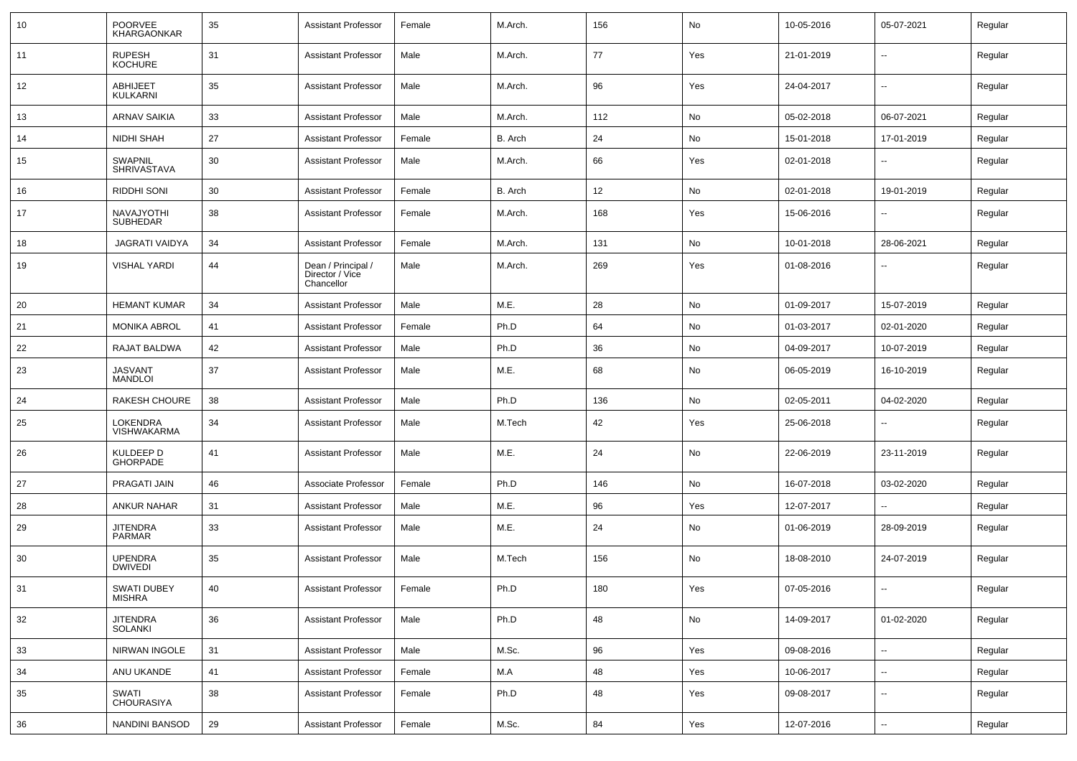| 10 | <b>POORVEE</b><br><b>KHARGAONKAR</b> | 35 | Assistant Professor                                 | Female | M.Arch. | 156 | No  | 10-05-2016 | 05-07-2021               | Regular |
|----|--------------------------------------|----|-----------------------------------------------------|--------|---------|-----|-----|------------|--------------------------|---------|
| 11 | <b>RUPESH</b><br><b>KOCHURE</b>      | 31 | <b>Assistant Professor</b>                          | Male   | M.Arch. | 77  | Yes | 21-01-2019 | $\overline{\phantom{a}}$ | Regular |
| 12 | <b>ABHIJEET</b><br><b>KULKARNI</b>   | 35 | <b>Assistant Professor</b>                          | Male   | M.Arch. | 96  | Yes | 24-04-2017 | $\sim$                   | Regular |
| 13 | ARNAV SAIKIA                         | 33 | <b>Assistant Professor</b>                          | Male   | M.Arch. | 112 | No  | 05-02-2018 | 06-07-2021               | Regular |
| 14 | NIDHI SHAH                           | 27 | <b>Assistant Professor</b>                          | Female | B. Arch | 24  | No  | 15-01-2018 | 17-01-2019               | Regular |
| 15 | SWAPNIL<br><b>SHRIVASTAVA</b>        | 30 | <b>Assistant Professor</b>                          | Male   | M.Arch. | 66  | Yes | 02-01-2018 |                          | Regular |
| 16 | RIDDHI SONI                          | 30 | <b>Assistant Professor</b>                          | Female | B. Arch | 12  | No  | 02-01-2018 | 19-01-2019               | Regular |
| 17 | NAVAJYOTHI<br>SUBHEDAR               | 38 | <b>Assistant Professor</b>                          | Female | M.Arch. | 168 | Yes | 15-06-2016 |                          | Regular |
| 18 | <b>JAGRATI VAIDYA</b>                | 34 | <b>Assistant Professor</b>                          | Female | M.Arch. | 131 | No  | 10-01-2018 | 28-06-2021               | Regular |
| 19 | <b>VISHAL YARDI</b>                  | 44 | Dean / Principal /<br>Director / Vice<br>Chancellor | Male   | M.Arch. | 269 | Yes | 01-08-2016 |                          | Regular |
| 20 | <b>HEMANT KUMAR</b>                  | 34 | <b>Assistant Professor</b>                          | Male   | M.E.    | 28  | No  | 01-09-2017 | 15-07-2019               | Regular |
| 21 | <b>MONIKA ABROL</b>                  | 41 | <b>Assistant Professor</b>                          | Female | Ph.D    | 64  | No  | 01-03-2017 | 02-01-2020               | Regular |
| 22 | RAJAT BALDWA                         | 42 | <b>Assistant Professor</b>                          | Male   | Ph.D    | 36  | No  | 04-09-2017 | 10-07-2019               | Regular |
| 23 | <b>JASVANT</b><br><b>MANDLOI</b>     | 37 | <b>Assistant Professor</b>                          | Male   | M.E.    | 68  | No  | 06-05-2019 | 16-10-2019               | Regular |
| 24 | <b>RAKESH CHOURE</b>                 | 38 | <b>Assistant Professor</b>                          | Male   | Ph.D    | 136 | No  | 02-05-2011 | 04-02-2020               | Regular |
| 25 | <b>LOKENDRA</b><br>VISHWAKARMA       | 34 | <b>Assistant Professor</b>                          | Male   | M.Tech  | 42  | Yes | 25-06-2018 |                          | Regular |
| 26 | KULDEEP D<br><b>GHORPADE</b>         | 41 | <b>Assistant Professor</b>                          | Male   | M.E.    | 24  | No  | 22-06-2019 | 23-11-2019               | Regular |
| 27 | PRAGATI JAIN                         | 46 | Associate Professor                                 | Female | Ph.D    | 146 | No  | 16-07-2018 | 03-02-2020               | Regular |
| 28 | ANKUR NAHAR                          | 31 | <b>Assistant Professor</b>                          | Male   | M.E.    | 96  | Yes | 12-07-2017 |                          | Regular |
| 29 | <b>JITENDRA</b><br><b>PARMAR</b>     | 33 | <b>Assistant Professor</b>                          | Male   | M.E.    | 24  | No  | 01-06-2019 | 28-09-2019               | Regular |
| 30 | <b>UPENDRA</b><br><b>DWIVEDI</b>     | 35 | <b>Assistant Professor</b>                          | Male   | M.Tech  | 156 | No  | 18-08-2010 | 24-07-2019               | Regular |
| 31 | SWATI DUBEY<br><b>MISHRA</b>         | 40 | Assistant Professor                                 | Female | Ph.D    | 180 | Yes | 07-05-2016 | ÷                        | Regular |
| 32 | <b>JITENDRA</b><br>SOLANKI           | 36 | <b>Assistant Professor</b>                          | Male   | Ph.D    | 48  | No  | 14-09-2017 | 01-02-2020               | Regular |
| 33 | NIRWAN INGOLE                        | 31 | <b>Assistant Professor</b>                          | Male   | M.Sc.   | 96  | Yes | 09-08-2016 | $\sim$                   | Regular |
| 34 | ANU UKANDE                           | 41 | <b>Assistant Professor</b>                          | Female | M.A     | 48  | Yes | 10-06-2017 | $\overline{\phantom{a}}$ | Regular |
| 35 | SWATI<br><b>CHOURASIYA</b>           | 38 | <b>Assistant Professor</b>                          | Female | Ph.D    | 48  | Yes | 09-08-2017 | $\ddot{\phantom{a}}$     | Regular |
| 36 | <b>NANDINI BANSOD</b>                | 29 | <b>Assistant Professor</b>                          | Female | M.Sc.   | 84  | Yes | 12-07-2016 | $\sim$                   | Regular |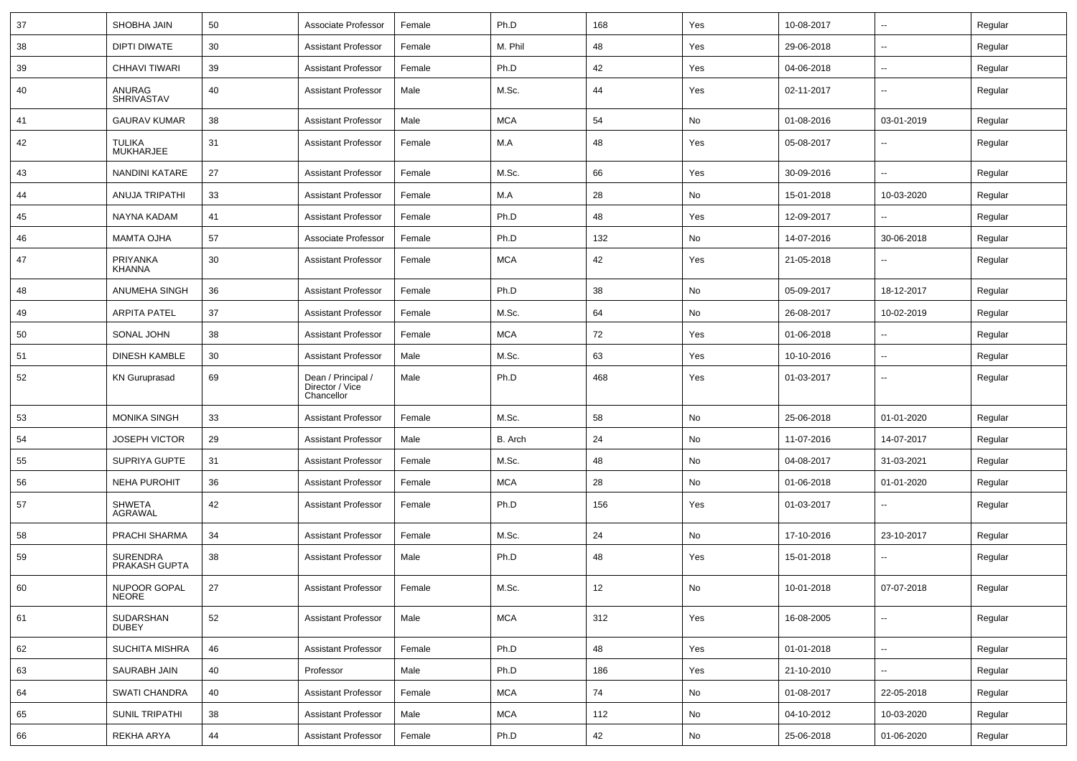| 37 | SHOBHA JAIN                      | 50 | Associate Professor                                 | Female | Ph.D       | 168 | Yes | 10-08-2017 | ⊶.                       | Regular |
|----|----------------------------------|----|-----------------------------------------------------|--------|------------|-----|-----|------------|--------------------------|---------|
| 38 | <b>DIPTI DIWATE</b>              | 30 | <b>Assistant Professor</b>                          | Female | M. Phil    | 48  | Yes | 29-06-2018 | -−                       | Regular |
| 39 | <b>CHHAVI TIWARI</b>             | 39 | <b>Assistant Professor</b>                          | Female | Ph.D       | 42  | Yes | 04-06-2018 | -−                       | Regular |
| 40 | ANURAG<br><b>SHRIVASTAV</b>      | 40 | <b>Assistant Professor</b>                          | Male   | M.Sc.      | 44  | Yes | 02-11-2017 | --                       | Regular |
| 41 | <b>GAURAV KUMAR</b>              | 38 | <b>Assistant Professor</b>                          | Male   | <b>MCA</b> | 54  | No  | 01-08-2016 | 03-01-2019               | Regular |
| 42 | <b>TULIKA</b><br>MUKHARJEE       | 31 | <b>Assistant Professor</b>                          | Female | M.A        | 48  | Yes | 05-08-2017 |                          | Regular |
| 43 | <b>NANDINI KATARE</b>            | 27 | <b>Assistant Professor</b>                          | Female | M.Sc.      | 66  | Yes | 30-09-2016 |                          | Regular |
| 44 | <b>ANUJA TRIPATHI</b>            | 33 | <b>Assistant Professor</b>                          | Female | M.A        | 28  | No  | 15-01-2018 | 10-03-2020               | Regular |
| 45 | NAYNA KADAM                      | 41 | <b>Assistant Professor</b>                          | Female | Ph.D       | 48  | Yes | 12-09-2017 | ⊷.                       | Regular |
| 46 | <b>MAMTA OJHA</b>                | 57 | Associate Professor                                 | Female | Ph.D       | 132 | No  | 14-07-2016 | 30-06-2018               | Regular |
| 47 | <b>PRIYANKA</b><br><b>KHANNA</b> | 30 | <b>Assistant Professor</b>                          | Female | <b>MCA</b> | 42  | Yes | 21-05-2018 | н.                       | Regular |
| 48 | ANUMEHA SINGH                    | 36 | <b>Assistant Professor</b>                          | Female | Ph.D       | 38  | No  | 05-09-2017 | 18-12-2017               | Regular |
| 49 | <b>ARPITA PATEL</b>              | 37 | <b>Assistant Professor</b>                          | Female | M.Sc.      | 64  | No  | 26-08-2017 | 10-02-2019               | Regular |
| 50 | SONAL JOHN                       | 38 | <b>Assistant Professor</b>                          | Female | <b>MCA</b> | 72  | Yes | 01-06-2018 |                          | Regular |
| 51 | DINESH KAMBLE                    | 30 | <b>Assistant Professor</b>                          | Male   | M.Sc.      | 63  | Yes | 10-10-2016 | ⊷.                       | Regular |
| 52 | <b>KN</b> Guruprasad             | 69 | Dean / Principal /<br>Director / Vice<br>Chancellor | Male   | Ph.D       | 468 | Yes | 01-03-2017 | $\overline{\phantom{a}}$ | Regular |
| 53 | <b>MONIKA SINGH</b>              | 33 | <b>Assistant Professor</b>                          | Female | M.Sc.      | 58  | No  | 25-06-2018 | 01-01-2020               | Regular |
| 54 | <b>JOSEPH VICTOR</b>             | 29 | <b>Assistant Professor</b>                          | Male   | B. Arch    | 24  | No  | 11-07-2016 | 14-07-2017               | Regular |
| 55 | SUPRIYA GUPTE                    | 31 | <b>Assistant Professor</b>                          | Female | M.Sc.      | 48  | No  | 04-08-2017 | 31-03-2021               | Regular |
| 56 | <b>NEHA PUROHIT</b>              | 36 | <b>Assistant Professor</b>                          | Female | MCA        | 28  | No  | 01-06-2018 | 01-01-2020               | Regular |
| 57 | <b>SHWETA</b><br>AGRAWAL         | 42 | <b>Assistant Professor</b>                          | Female | Ph.D       | 156 | Yes | 01-03-2017 | --                       | Regular |
| 58 | PRACHI SHARMA                    | 34 | <b>Assistant Professor</b>                          | Female | M.Sc.      | 24  | No  | 17-10-2016 | 23-10-2017               | Regular |
| 59 | <b>SURENDRA</b><br>PRAKASH GUPTA | 38 | <b>Assistant Professor</b>                          | Male   | Ph.D       | 48  | Yes | 15-01-2018 |                          | Regular |
| 60 | NUPOOR GOPAL<br><b>NEORE</b>     | 27 | Assistant Professor                                 | Female | M.Sc.      | 12  | No  | 10-01-2018 | 07-07-2018               | Regular |
| 61 | SUDARSHAN<br><b>DUBEY</b>        | 52 | Assistant Professor                                 | Male   | <b>MCA</b> | 312 | Yes | 16-08-2005 | Щ,                       | Regular |
| 62 | SUCHITA MISHRA                   | 46 | <b>Assistant Professor</b>                          | Female | Ph.D       | 48  | Yes | 01-01-2018 | ш.                       | Regular |
| 63 | SAURABH JAIN                     | 40 | Professor                                           | Male   | Ph.D       | 186 | Yes | 21-10-2010 | ц,                       | Regular |
| 64 | <b>SWATI CHANDRA</b>             | 40 | <b>Assistant Professor</b>                          | Female | <b>MCA</b> | 74  | No  | 01-08-2017 | 22-05-2018               | Regular |
| 65 | SUNIL TRIPATHI                   | 38 | <b>Assistant Professor</b>                          | Male   | <b>MCA</b> | 112 | No  | 04-10-2012 | 10-03-2020               | Regular |
| 66 | REKHA ARYA                       | 44 | <b>Assistant Professor</b>                          | Female | Ph.D       | 42  | No  | 25-06-2018 | 01-06-2020               | Regular |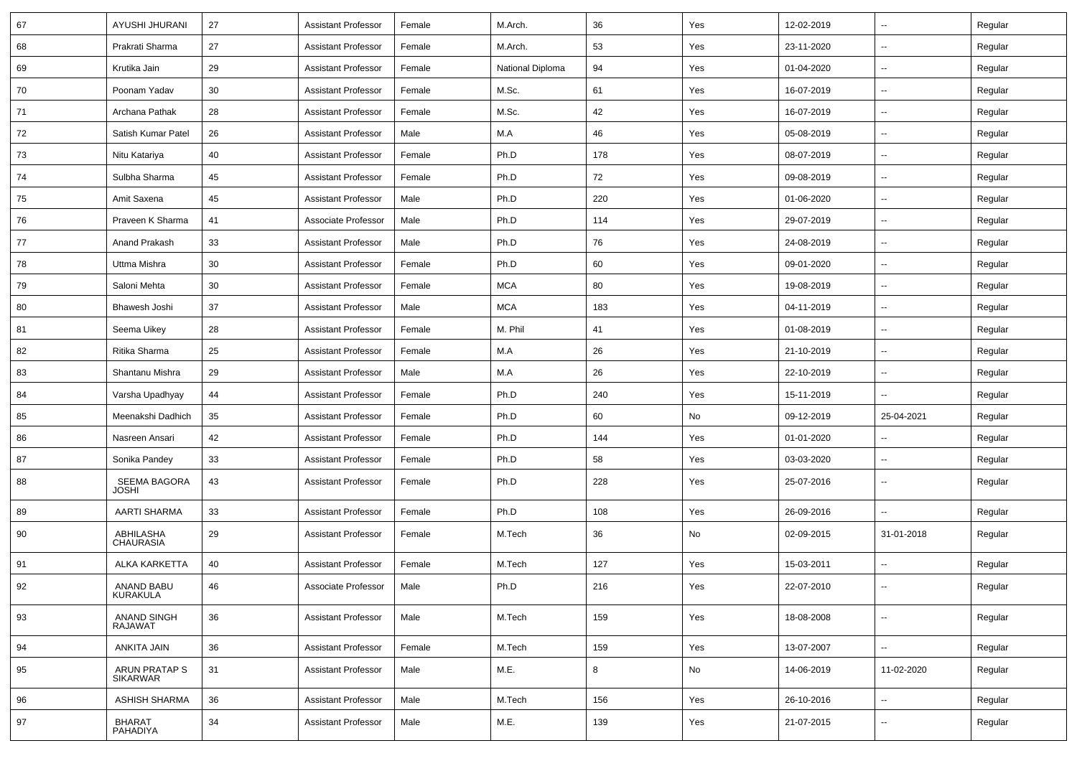| 67 | AYUSHI JHURANI                   | 27     | <b>Assistant Professor</b> | Female | M.Arch.          | 36  | Yes | 12-02-2019 |                          | Regular |
|----|----------------------------------|--------|----------------------------|--------|------------------|-----|-----|------------|--------------------------|---------|
| 68 | Prakrati Sharma                  | 27     | <b>Assistant Professor</b> | Female | M.Arch.          | 53  | Yes | 23-11-2020 | $\sim$                   | Regular |
| 69 | Krutika Jain                     | 29     | <b>Assistant Professor</b> | Female | National Diploma | 94  | Yes | 01-04-2020 |                          | Regular |
| 70 | Poonam Yadav                     | 30     | <b>Assistant Professor</b> | Female | M.Sc.            | 61  | Yes | 16-07-2019 |                          | Regular |
| 71 | Archana Pathak                   | 28     | <b>Assistant Professor</b> | Female | M.Sc.            | 42  | Yes | 16-07-2019 |                          | Regular |
| 72 | Satish Kumar Patel               | 26     | <b>Assistant Professor</b> | Male   | M.A              | 46  | Yes | 05-08-2019 |                          | Regular |
| 73 | Nitu Katariya                    | 40     | <b>Assistant Professor</b> | Female | Ph.D             | 178 | Yes | 08-07-2019 | $\sim$                   | Regular |
| 74 | Sulbha Sharma                    | 45     | <b>Assistant Professor</b> | Female | Ph.D             | 72  | Yes | 09-08-2019 | $\sim$                   | Regular |
| 75 | Amit Saxena                      | 45     | <b>Assistant Professor</b> | Male   | Ph.D             | 220 | Yes | 01-06-2020 | $\sim$                   | Regular |
| 76 | Praveen K Sharma                 | 41     | Associate Professor        | Male   | Ph.D             | 114 | Yes | 29-07-2019 |                          | Regular |
| 77 | Anand Prakash                    | 33     | <b>Assistant Professor</b> | Male   | Ph.D             | 76  | Yes | 24-08-2019 | $\overline{\phantom{a}}$ | Regular |
| 78 | Uttma Mishra                     | 30     | <b>Assistant Professor</b> | Female | Ph.D             | 60  | Yes | 09-01-2020 |                          | Regular |
| 79 | Saloni Mehta                     | 30     | <b>Assistant Professor</b> | Female | <b>MCA</b>       | 80  | Yes | 19-08-2019 |                          | Regular |
| 80 | Bhawesh Joshi                    | 37     | <b>Assistant Professor</b> | Male   | <b>MCA</b>       | 183 | Yes | 04-11-2019 | $\sim$                   | Regular |
| 81 | Seema Uikey                      | 28     | <b>Assistant Professor</b> | Female | M. Phil          | 41  | Yes | 01-08-2019 |                          | Regular |
| 82 | Ritika Sharma                    | 25     | <b>Assistant Professor</b> | Female | M.A              | 26  | Yes | 21-10-2019 | Ξ.                       | Regular |
| 83 | Shantanu Mishra                  | 29     | <b>Assistant Professor</b> | Male   | M.A              | 26  | Yes | 22-10-2019 |                          | Regular |
| 84 | Varsha Upadhyay                  | 44     | <b>Assistant Professor</b> | Female | Ph.D             | 240 | Yes | 15-11-2019 |                          | Regular |
| 85 | Meenakshi Dadhich                | 35     | <b>Assistant Professor</b> | Female | Ph.D             | 60  | No  | 09-12-2019 | 25-04-2021               | Regular |
| 86 | Nasreen Ansari                   | 42     | <b>Assistant Professor</b> | Female | Ph.D             | 144 | Yes | 01-01-2020 |                          | Regular |
| 87 | Sonika Pandey                    | 33     | <b>Assistant Professor</b> | Female | Ph.D             | 58  | Yes | 03-03-2020 | $\sim$                   | Regular |
| 88 | SEEMA BAGORA<br><b>JOSHI</b>     | 43     | <b>Assistant Professor</b> | Female | Ph.D             | 228 | Yes | 25-07-2016 |                          | Regular |
| 89 | <b>AARTI SHARMA</b>              | 33     | <b>Assistant Professor</b> | Female | Ph.D             | 108 | Yes | 26-09-2016 |                          | Regular |
| 90 | ABHILASHA<br><b>CHAURASIA</b>    | 29     | <b>Assistant Professor</b> | Female | M.Tech           | 36  | No  | 02-09-2015 | 31-01-2018               | Regular |
| 91 | ALKA KARKETTA                    | 40     | <b>Assistant Professor</b> | Female | M.Tech           | 127 | Yes | 15-03-2011 | $\overline{\phantom{a}}$ | Regular |
| 92 | ANAND BABU<br>KURAKULA           | 46     | Associate Professor        | Male   | Ph.D             | 216 | Yes | 22-07-2010 |                          | Regular |
| 93 | ANAND SINGH<br>RAJAWAT           | 36     | <b>Assistant Professor</b> | Male   | M.Tech           | 159 | Yes | 18-08-2008 | Ξ.                       | Regular |
| 94 | ANKITA JAIN                      | 36     | <b>Assistant Professor</b> | Female | M.Tech           | 159 | Yes | 13-07-2007 | $\sim$                   | Regular |
| 95 | ARUN PRATAP S<br>SIKARWAR        | 31     | <b>Assistant Professor</b> | Male   | M.E.             | 8   | No  | 14-06-2019 | 11-02-2020               | Regular |
| 96 | ASHISH SHARMA                    | 36     | Assistant Professor        | Male   | M.Tech           | 156 | Yes | 26-10-2016 | $\overline{\phantom{a}}$ | Regular |
| 97 | <b>BHARAT</b><br><b>PAHADIYA</b> | $34\,$ | <b>Assistant Professor</b> | Male   | M.E.             | 139 | Yes | 21-07-2015 | $\sim$                   | Regular |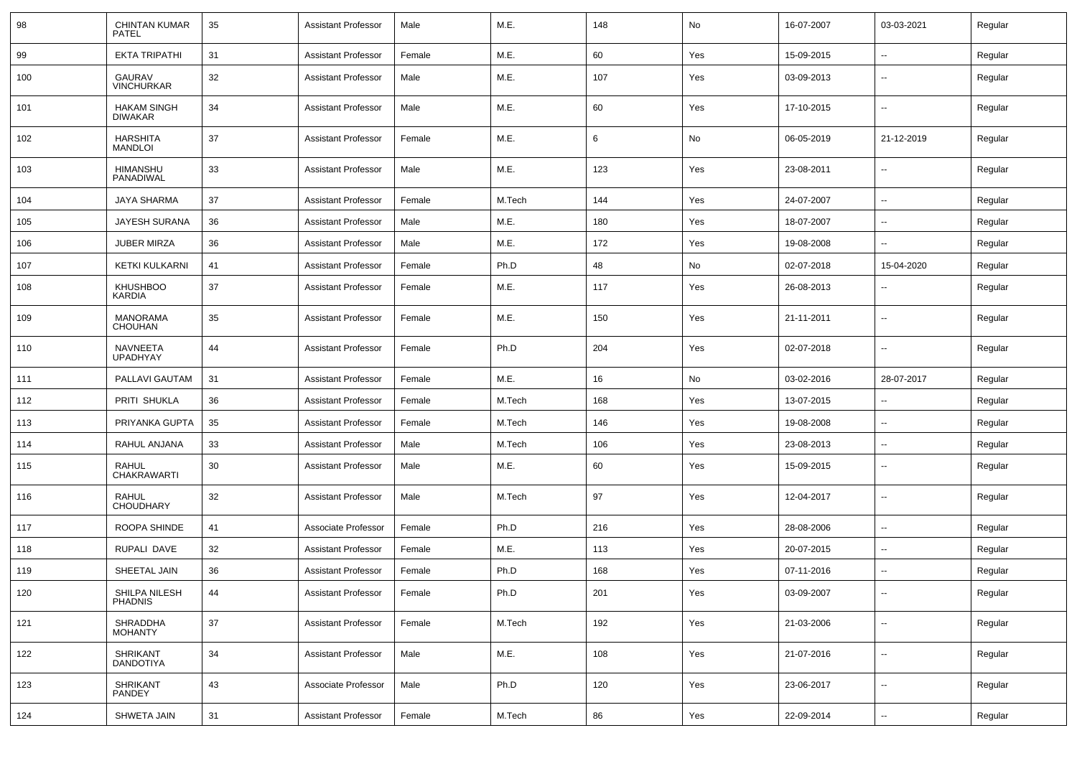| 98  | <b>CHINTAN KUMAR</b><br><b>PATEL</b> | 35 | <b>Assistant Professor</b> | Male   | M.E.   | 148 | No  | 16-07-2007 | 03-03-2021               | Regular |
|-----|--------------------------------------|----|----------------------------|--------|--------|-----|-----|------------|--------------------------|---------|
| 99  | EKTA TRIPATHI                        | 31 | Assistant Professor        | Female | M.E.   | 60  | Yes | 15-09-2015 | -−                       | Regular |
| 100 | GAURAV<br><b>VINCHURKAR</b>          | 32 | <b>Assistant Professor</b> | Male   | M.E.   | 107 | Yes | 03-09-2013 | --                       | Regular |
| 101 | <b>HAKAM SINGH</b><br><b>DIWAKAR</b> | 34 | <b>Assistant Professor</b> | Male   | M.E.   | 60  | Yes | 17-10-2015 | --                       | Regular |
| 102 | <b>HARSHITA</b><br><b>MANDLOI</b>    | 37 | <b>Assistant Professor</b> | Female | M.E.   | 6   | No  | 06-05-2019 | 21-12-2019               | Regular |
| 103 | HIMANSHU<br>PANADIWAL                | 33 | <b>Assistant Professor</b> | Male   | M.E.   | 123 | Yes | 23-08-2011 | $\overline{\phantom{a}}$ | Regular |
| 104 | JAYA SHARMA                          | 37 | <b>Assistant Professor</b> | Female | M.Tech | 144 | Yes | 24-07-2007 | --                       | Regular |
| 105 | <b>JAYESH SURANA</b>                 | 36 | <b>Assistant Professor</b> | Male   | M.E.   | 180 | Yes | 18-07-2007 | --                       | Regular |
| 106 | <b>JUBER MIRZA</b>                   | 36 | <b>Assistant Professor</b> | Male   | M.E.   | 172 | Yes | 19-08-2008 | $\overline{\phantom{a}}$ | Regular |
| 107 | KETKI KULKARNI                       | 41 | <b>Assistant Professor</b> | Female | Ph.D   | 48  | No  | 02-07-2018 | 15-04-2020               | Regular |
| 108 | <b>KHUSHBOO</b><br>KARDIA            | 37 | Assistant Professor        | Female | M.E.   | 117 | Yes | 26-08-2013 | --                       | Regular |
| 109 | MANORAMA<br><b>CHOUHAN</b>           | 35 | Assistant Professor        | Female | M.E.   | 150 | Yes | 21-11-2011 | ⊷.                       | Regular |
| 110 | NAVNEETA<br><b>UPADHYAY</b>          | 44 | Assistant Professor        | Female | Ph.D   | 204 | Yes | 02-07-2018 | −−                       | Regular |
| 111 | PALLAVI GAUTAM                       | 31 | <b>Assistant Professor</b> | Female | M.E.   | 16  | No  | 03-02-2016 | 28-07-2017               | Regular |
| 112 | PRITI SHUKLA                         | 36 | <b>Assistant Professor</b> | Female | M.Tech | 168 | Yes | 13-07-2015 | -−                       | Regular |
| 113 | PRIYANKA GUPTA                       | 35 | <b>Assistant Professor</b> | Female | M.Tech | 146 | Yes | 19-08-2008 | ⊷                        | Regular |
| 114 | RAHUL ANJANA                         | 33 | <b>Assistant Professor</b> | Male   | M.Tech | 106 | Yes | 23-08-2013 | Ξ.                       | Regular |
| 115 | <b>RAHUL</b><br>CHAKRAWARTI          | 30 | <b>Assistant Professor</b> | Male   | M.E.   | 60  | Yes | 15-09-2015 | ⊷.                       | Regular |
| 116 | RAHUL<br><b>CHOUDHARY</b>            | 32 | <b>Assistant Professor</b> | Male   | M.Tech | 97  | Yes | 12-04-2017 | ⊷.                       | Regular |
| 117 | ROOPA SHINDE                         | 41 | Associate Professor        | Female | Ph.D   | 216 | Yes | 28-08-2006 | -−                       | Regular |
| 118 | RUPALI DAVE                          | 32 | Assistant Professor        | Female | M.E.   | 113 | Yes | 20-07-2015 | −−                       | Regular |
| 119 | SHEETAL JAIN                         | 36 | <b>Assistant Professor</b> | Female | Ph.D   | 168 | Yes | 07-11-2016 | -−                       | Regular |
| 120 | SHILPA NILESH<br><b>PHADNIS</b>      | 44 | <b>Assistant Professor</b> | Female | Ph.D   | 201 | Yes | 03-09-2007 | $\overline{\phantom{a}}$ | Regular |
| 121 | SHRADDHA<br><b>MOHANTY</b>           | 37 | <b>Assistant Professor</b> | Female | M.Tech | 192 | Yes | 21-03-2006 | $\overline{\phantom{a}}$ | Regular |
| 122 | SHRIKANT<br><b>DANDOTIYA</b>         | 34 | <b>Assistant Professor</b> | Male   | M.E.   | 108 | Yes | 21-07-2016 | $\sim$                   | Regular |
| 123 | <b>SHRIKANT</b><br>PANDEY            | 43 | Associate Professor        | Male   | Ph.D   | 120 | Yes | 23-06-2017 | $\sim$                   | Regular |
| 124 | SHWETA JAIN                          | 31 | <b>Assistant Professor</b> | Female | M.Tech | 86  | Yes | 22-09-2014 | $\overline{\phantom{a}}$ | Regular |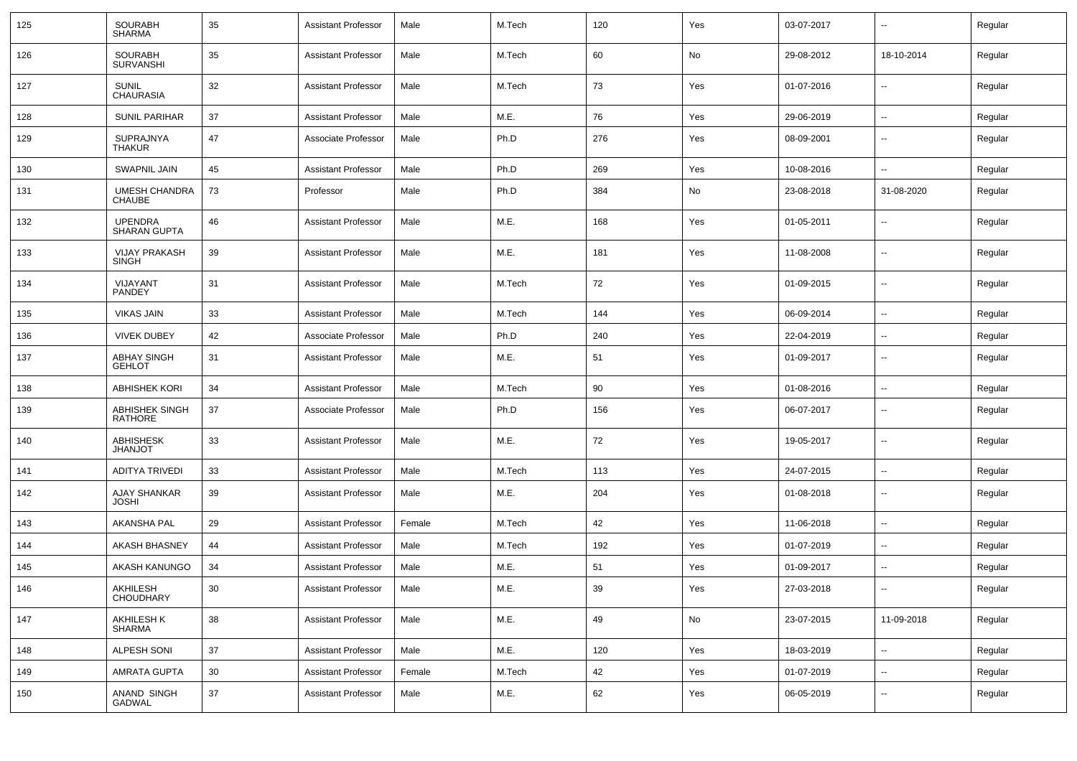| 125 | <b>SOURABH</b><br><b>SHARMA</b>       | 35 | <b>Assistant Professor</b> | Male   | M.Tech | 120 | Yes | 03-07-2017 | --                       | Regular |
|-----|---------------------------------------|----|----------------------------|--------|--------|-----|-----|------------|--------------------------|---------|
| 126 | <b>SOURABH</b><br><b>SURVANSHI</b>    | 35 | <b>Assistant Professor</b> | Male   | M.Tech | 60  | No  | 29-08-2012 | 18-10-2014               | Regular |
| 127 | <b>SUNIL</b><br>CHAURASIA             | 32 | <b>Assistant Professor</b> | Male   | M.Tech | 73  | Yes | 01-07-2016 | $\overline{\phantom{a}}$ | Regular |
| 128 | <b>SUNIL PARIHAR</b>                  | 37 | <b>Assistant Professor</b> | Male   | M.E.   | 76  | Yes | 29-06-2019 | --                       | Regular |
| 129 | <b>SUPRAJNYA</b><br><b>THAKUR</b>     | 47 | Associate Professor        | Male   | Ph.D   | 276 | Yes | 08-09-2001 | --                       | Regular |
| 130 | <b>SWAPNIL JAIN</b>                   | 45 | <b>Assistant Professor</b> | Male   | Ph.D   | 269 | Yes | 10-08-2016 | --                       | Regular |
| 131 | <b>UMESH CHANDRA</b><br><b>CHAUBE</b> | 73 | Professor                  | Male   | Ph.D   | 384 | No  | 23-08-2018 | 31-08-2020               | Regular |
| 132 | <b>UPENDRA</b><br><b>SHARAN GUPTA</b> | 46 | <b>Assistant Professor</b> | Male   | M.E.   | 168 | Yes | 01-05-2011 | --                       | Regular |
| 133 | <b>VIJAY PRAKASH</b><br><b>SINGH</b>  | 39 | <b>Assistant Professor</b> | Male   | M.E.   | 181 | Yes | 11-08-2008 | --                       | Regular |
| 134 | VIJAYANT<br><b>PANDEY</b>             | 31 | <b>Assistant Professor</b> | Male   | M.Tech | 72  | Yes | 01-09-2015 | --                       | Regular |
| 135 | <b>VIKAS JAIN</b>                     | 33 | <b>Assistant Professor</b> | Male   | M.Tech | 144 | Yes | 06-09-2014 | -−                       | Regular |
| 136 | <b>VIVEK DUBEY</b>                    | 42 | Associate Professor        | Male   | Ph.D   | 240 | Yes | 22-04-2019 | --                       | Regular |
| 137 | <b>ABHAY SINGH</b><br><b>GEHLOT</b>   | 31 | <b>Assistant Professor</b> | Male   | M.E.   | 51  | Yes | 01-09-2017 | ⊷.                       | Regular |
| 138 | <b>ABHISHEK KORI</b>                  | 34 | <b>Assistant Professor</b> | Male   | M.Tech | 90  | Yes | 01-08-2016 | $\overline{\phantom{a}}$ | Regular |
| 139 | ABHISHEK SINGH<br><b>RATHORE</b>      | 37 | Associate Professor        | Male   | Ph.D   | 156 | Yes | 06-07-2017 | $\overline{\phantom{a}}$ | Regular |
| 140 | ABHISHESK<br><b>TOLIAHL</b>           | 33 | <b>Assistant Professor</b> | Male   | M.E.   | 72  | Yes | 19-05-2017 | $\overline{\phantom{a}}$ | Regular |
| 141 | <b>ADITYA TRIVEDI</b>                 | 33 | <b>Assistant Professor</b> | Male   | M.Tech | 113 | Yes | 24-07-2015 | $\overline{\phantom{a}}$ | Regular |
| 142 | <b>AJAY SHANKAR</b><br><b>JOSHI</b>   | 39 | <b>Assistant Professor</b> | Male   | M.E.   | 204 | Yes | 01-08-2018 | --                       | Regular |
| 143 | <b>AKANSHA PAL</b>                    | 29 | <b>Assistant Professor</b> | Female | M.Tech | 42  | Yes | 11-06-2018 | $\overline{\phantom{a}}$ | Regular |
| 144 | AKASH BHASNEY                         | 44 | <b>Assistant Professor</b> | Male   | M.Tech | 192 | Yes | 01-07-2019 | --                       | Regular |
| 145 | AKASH KANUNGO                         | 34 | <b>Assistant Professor</b> | Male   | M.E.   | 51  | Yes | 01-09-2017 | --                       | Regular |
| 146 | AKHILESH<br><b>CHOUDHARY</b>          | 30 | <b>Assistant Professor</b> | Male   | M.E.   | 39  | Yes | 27-03-2018 |                          | Regular |
| 147 | AKHILESH K<br>SHARMA                  | 38 | <b>Assistant Professor</b> | Male   | M.E.   | 49  | No  | 23-07-2015 | 11-09-2018               | Regular |
| 148 | ALPESH SONI                           | 37 | <b>Assistant Professor</b> | Male   | M.E.   | 120 | Yes | 18-03-2019 | н.                       | Regular |
| 149 | <b>AMRATA GUPTA</b>                   | 30 | <b>Assistant Professor</b> | Female | M.Tech | 42  | Yes | 01-07-2019 | $\overline{\phantom{a}}$ | Regular |
| 150 | ANAND SINGH<br>GADWAL                 | 37 | <b>Assistant Professor</b> | Male   | M.E.   | 62  | Yes | 06-05-2019 | ₩,                       | Regular |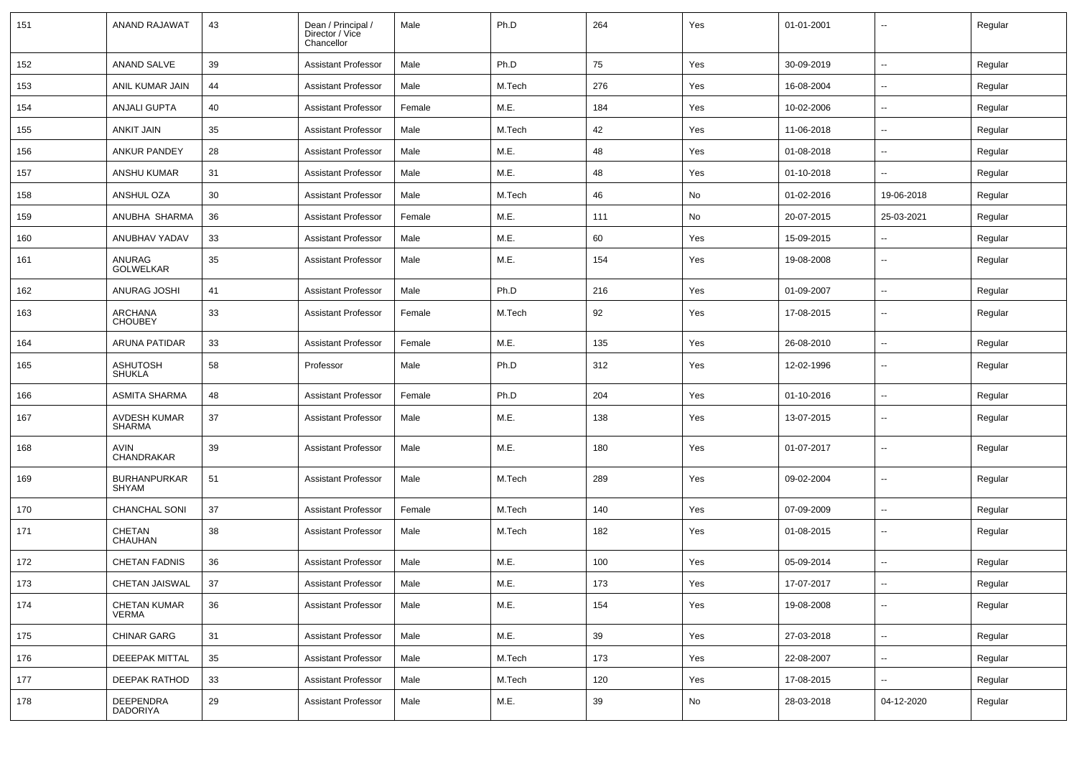| 151 | ANAND RAJAWAT                        | 43 | Dean / Principal /<br>Director / Vice<br>Chancellor | Male   | Ph.D   | 264 | Yes | 01-01-2001 |                          | Regular |
|-----|--------------------------------------|----|-----------------------------------------------------|--------|--------|-----|-----|------------|--------------------------|---------|
| 152 | ANAND SALVE                          | 39 | <b>Assistant Professor</b>                          | Male   | Ph.D   | 75  | Yes | 30-09-2019 | $\sim$                   | Regular |
| 153 | ANIL KUMAR JAIN                      | 44 | <b>Assistant Professor</b>                          | Male   | M.Tech | 276 | Yes | 16-08-2004 | Ξ.                       | Regular |
| 154 | <b>ANJALI GUPTA</b>                  | 40 | <b>Assistant Professor</b>                          | Female | M.E.   | 184 | Yes | 10-02-2006 | $\sim$                   | Regular |
| 155 | <b>ANKIT JAIN</b>                    | 35 | <b>Assistant Professor</b>                          | Male   | M.Tech | 42  | Yes | 11-06-2018 | $-$                      | Regular |
| 156 | <b>ANKUR PANDEY</b>                  | 28 | <b>Assistant Professor</b>                          | Male   | M.E.   | 48  | Yes | 01-08-2018 |                          | Regular |
| 157 | ANSHU KUMAR                          | 31 | <b>Assistant Professor</b>                          | Male   | M.E.   | 48  | Yes | 01-10-2018 | $\overline{a}$           | Regular |
| 158 | ANSHUL OZA                           | 30 | <b>Assistant Professor</b>                          | Male   | M.Tech | 46  | No  | 01-02-2016 | 19-06-2018               | Regular |
| 159 | ANUBHA SHARMA                        | 36 | <b>Assistant Professor</b>                          | Female | M.E.   | 111 | No  | 20-07-2015 | 25-03-2021               | Regular |
| 160 | ANUBHAV YADAV                        | 33 | <b>Assistant Professor</b>                          | Male   | M.E.   | 60  | Yes | 15-09-2015 | Ξ.                       | Regular |
| 161 | ANURAG<br>GOLWELKAR                  | 35 | <b>Assistant Professor</b>                          | Male   | M.E.   | 154 | Yes | 19-08-2008 | $-$                      | Regular |
| 162 | ANURAG JOSHI                         | 41 | <b>Assistant Professor</b>                          | Male   | Ph.D   | 216 | Yes | 01-09-2007 | $\overline{\phantom{a}}$ | Regular |
| 163 | ARCHANA<br>CHOUBEY                   | 33 | <b>Assistant Professor</b>                          | Female | M.Tech | 92  | Yes | 17-08-2015 | ۰.                       | Regular |
| 164 | ARUNA PATIDAR                        | 33 | <b>Assistant Professor</b>                          | Female | M.E.   | 135 | Yes | 26-08-2010 | $\overline{\phantom{a}}$ | Regular |
| 165 | <b>ASHUTOSH</b><br><b>SHUKLA</b>     | 58 | Professor                                           | Male   | Ph.D   | 312 | Yes | 12-02-1996 | $\sim$                   | Regular |
| 166 | <b>ASMITA SHARMA</b>                 | 48 | <b>Assistant Professor</b>                          | Female | Ph.D   | 204 | Yes | 01-10-2016 | $\overline{a}$           | Regular |
| 167 | <b>AVDESH KUMAR</b><br><b>SHARMA</b> | 37 | <b>Assistant Professor</b>                          | Male   | M.E.   | 138 | Yes | 13-07-2015 | ۰.                       | Regular |
| 168 | AVIN<br>CHANDRAKAR                   | 39 | <b>Assistant Professor</b>                          | Male   | M.E.   | 180 | Yes | 01-07-2017 | $\sim$                   | Regular |
| 169 | <b>BURHANPURKAR</b><br><b>SHYAM</b>  | 51 | <b>Assistant Professor</b>                          | Male   | M.Tech | 289 | Yes | 09-02-2004 | $\sim$                   | Regular |
| 170 | <b>CHANCHAL SONI</b>                 | 37 | <b>Assistant Professor</b>                          | Female | M.Tech | 140 | Yes | 07-09-2009 | $\sim$                   | Regular |
| 171 | CHETAN<br>CHAUHAN                    | 38 | <b>Assistant Professor</b>                          | Male   | M.Tech | 182 | Yes | 01-08-2015 | Ξ.                       | Regular |
| 172 | <b>CHETAN FADNIS</b>                 | 36 | <b>Assistant Professor</b>                          | Male   | M.E.   | 100 | Yes | 05-09-2014 | Ξ.                       | Regular |
| 173 | CHETAN JAISWAL                       | 37 | <b>Assistant Professor</b>                          | Male   | M.E.   | 173 | Yes | 17-07-2017 | $\mathbf{u}$             | Regular |
| 174 | <b>CHETAN KUMAR</b><br><b>VERMA</b>  | 36 | <b>Assistant Professor</b>                          | Male   | M.E.   | 154 | Yes | 19-08-2008 | Ξ.                       | Regular |
| 175 | <b>CHINAR GARG</b>                   | 31 | <b>Assistant Professor</b>                          | Male   | M.E.   | 39  | Yes | 27-03-2018 | $\sim$                   | Regular |
| 176 | DEEEPAK MITTAL                       | 35 | <b>Assistant Professor</b>                          | Male   | M.Tech | 173 | Yes | 22-08-2007 | $\sim$                   | Regular |
| 177 | DEEPAK RATHOD                        | 33 | <b>Assistant Professor</b>                          | Male   | M.Tech | 120 | Yes | 17-08-2015 | $\sim$                   | Regular |
| 178 | DEEPENDRA<br>DADORIYA                | 29 | <b>Assistant Professor</b>                          | Male   | M.E.   | 39  | No  | 28-03-2018 | 04-12-2020               | Regular |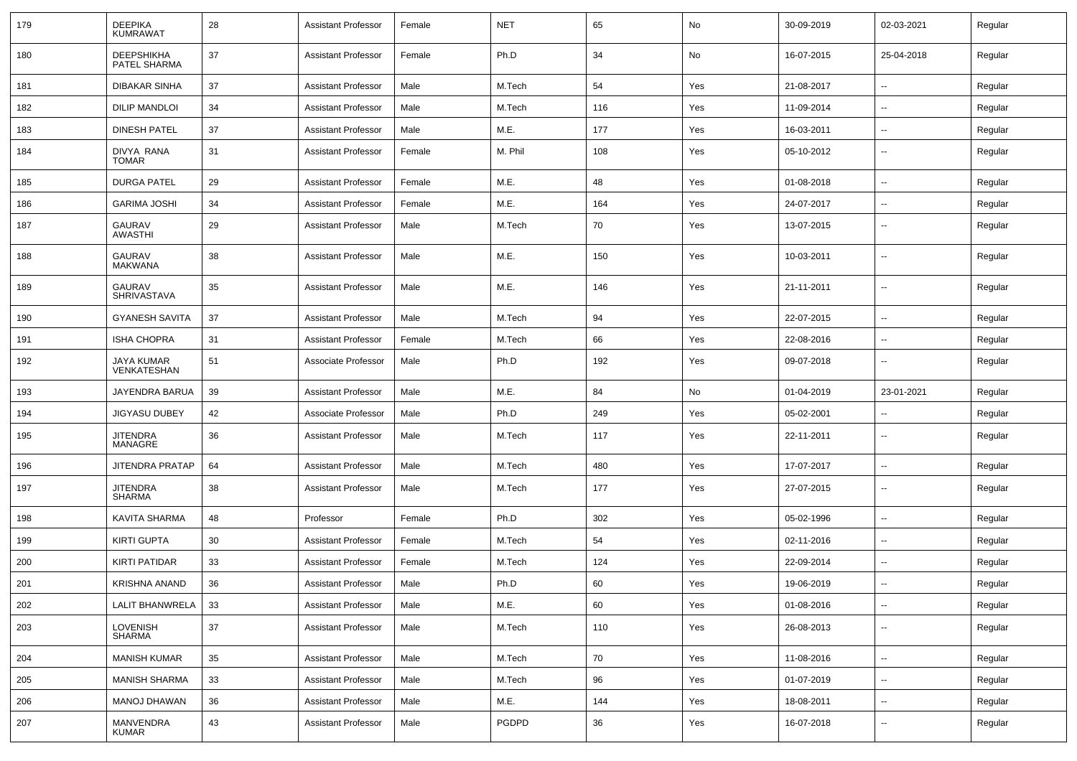| 179 | <b>DEEPIKA</b><br><b>KUMRAWAT</b>   | 28 | Assistant Professor        | Female | <b>NET</b> | 65  | No  | 30-09-2019 | 02-03-2021               | Regular |
|-----|-------------------------------------|----|----------------------------|--------|------------|-----|-----|------------|--------------------------|---------|
| 180 | <b>DEEPSHIKHA</b><br>PATEL SHARMA   | 37 | Assistant Professor        | Female | Ph.D       | 34  | No  | 16-07-2015 | 25-04-2018               | Regular |
| 181 | DIBAKAR SINHA                       | 37 | Assistant Professor        | Male   | M.Tech     | 54  | Yes | 21-08-2017 | $\sim$                   | Regular |
| 182 | <b>DILIP MANDLOI</b>                | 34 | Assistant Professor        | Male   | M.Tech     | 116 | Yes | 11-09-2014 |                          | Regular |
| 183 | <b>DINESH PATEL</b>                 | 37 | <b>Assistant Professor</b> | Male   | M.E.       | 177 | Yes | 16-03-2011 | $\overline{\phantom{a}}$ | Regular |
| 184 | DIVYA RANA<br><b>TOMAR</b>          | 31 | <b>Assistant Professor</b> | Female | M. Phil    | 108 | Yes | 05-10-2012 | $\overline{\phantom{a}}$ | Regular |
| 185 | <b>DURGA PATEL</b>                  | 29 | Assistant Professor        | Female | M.E.       | 48  | Yes | 01-08-2018 | $\overline{\phantom{a}}$ | Regular |
| 186 | <b>GARIMA JOSHI</b>                 | 34 | <b>Assistant Professor</b> | Female | M.E.       | 164 | Yes | 24-07-2017 |                          | Regular |
| 187 | <b>GAURAV</b><br><b>AWASTHI</b>     | 29 | <b>Assistant Professor</b> | Male   | M.Tech     | 70  | Yes | 13-07-2015 | $\sim$                   | Regular |
| 188 | <b>GAURAV</b><br><b>MAKWANA</b>     | 38 | <b>Assistant Professor</b> | Male   | M.E.       | 150 | Yes | 10-03-2011 | $\mathbf{u}$             | Regular |
| 189 | <b>GAURAV</b><br><b>SHRIVASTAVA</b> | 35 | <b>Assistant Professor</b> | Male   | M.E.       | 146 | Yes | 21-11-2011 | $\sim$                   | Regular |
| 190 | <b>GYANESH SAVITA</b>               | 37 | <b>Assistant Professor</b> | Male   | M.Tech     | 94  | Yes | 22-07-2015 | $\mathbf{u}$             | Regular |
| 191 | <b>ISHA CHOPRA</b>                  | 31 | Assistant Professor        | Female | M.Tech     | 66  | Yes | 22-08-2016 | $\sim$                   | Regular |
| 192 | JAYA KUMAR<br>VENKATESHAN           | 51 | Associate Professor        | Male   | Ph.D       | 192 | Yes | 09-07-2018 | --                       | Regular |
| 193 | JAYENDRA BARUA                      | 39 | <b>Assistant Professor</b> | Male   | M.E.       | 84  | No  | 01-04-2019 | 23-01-2021               | Regular |
|     |                                     |    |                            | Male   | Ph.D       | 249 | Yes | 05-02-2001 |                          | Regular |
| 194 | <b>JIGYASU DUBEY</b>                | 42 | Associate Professor        |        |            |     |     |            |                          |         |
| 195 | <b>JITENDRA</b><br>MANAGRE          | 36 | <b>Assistant Professor</b> | Male   | M.Tech     | 117 | Yes | 22-11-2011 | $\overline{\phantom{a}}$ | Regular |
| 196 | <b>JITENDRA PRATAP</b>              | 64 | <b>Assistant Professor</b> | Male   | M.Tech     | 480 | Yes | 17-07-2017 | $\overline{\phantom{a}}$ | Regular |
| 197 | <b>JITENDRA</b><br><b>SHARMA</b>    | 38 | <b>Assistant Professor</b> | Male   | M.Tech     | 177 | Yes | 27-07-2015 | --                       | Regular |
| 198 | KAVITA SHARMA                       | 48 | Professor                  | Female | Ph.D       | 302 | Yes | 05-02-1996 | $\overline{\phantom{a}}$ | Regular |
| 199 | <b>KIRTI GUPTA</b>                  | 30 | <b>Assistant Professor</b> | Female | M.Tech     | 54  | Yes | 02-11-2016 | $\sim$                   | Regular |
| 200 | <b>KIRTI PATIDAR</b>                | 33 | <b>Assistant Professor</b> | Female | M.Tech     | 124 | Yes | 22-09-2014 | $\mathbf{u}$             | Regular |
| 201 | KRISHNA ANAND                       | 36 | <b>Assistant Professor</b> | Male   | Ph.D       | 60  | Yes | 19-06-2019 | $\overline{\phantom{a}}$ | Regular |
| 202 | LALIT BHANWRELA                     | 33 | <b>Assistant Professor</b> | Male   | M.E.       | 60  | Yes | 01-08-2016 | $\mathbf{u}$             | Regular |
| 203 | <b>LOVENISH</b><br><b>SHARMA</b>    | 37 | <b>Assistant Professor</b> | Male   | M.Tech     | 110 | Yes | 26-08-2013 | $\mathbf{u}$             | Regular |
| 204 | <b>MANISH KUMAR</b>                 | 35 | <b>Assistant Professor</b> | Male   | M.Tech     | 70  | Yes | 11-08-2016 | $\sim$                   | Regular |
| 205 | <b>MANISH SHARMA</b>                | 33 | <b>Assistant Professor</b> | Male   | M.Tech     | 96  | Yes | 01-07-2019 | $\overline{\phantom{a}}$ | Regular |
| 206 | <b>MANOJ DHAWAN</b>                 | 36 | Assistant Professor        | Male   | M.E.       | 144 | Yes | 18-08-2011 | $\sim$                   | Regular |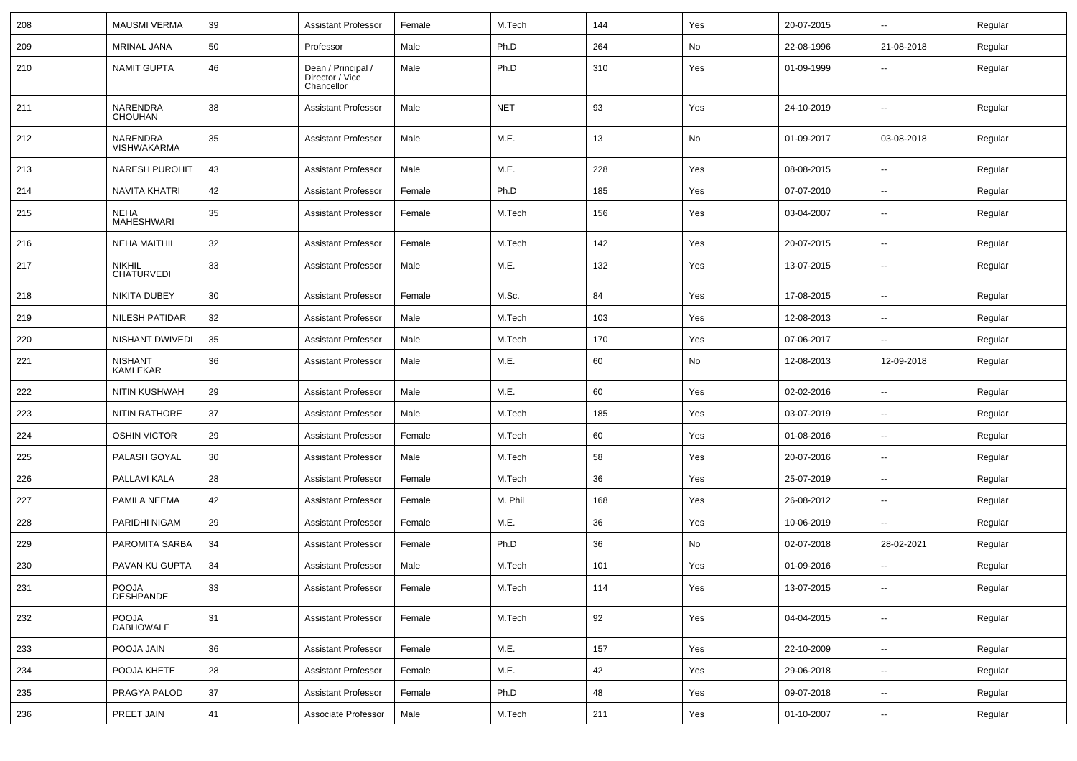| 208 | <b>MAUSMI VERMA</b>                | 39 | <b>Assistant Professor</b>                          | Female | M.Tech     | 144 | Yes | 20-07-2015 | --                       | Regular |
|-----|------------------------------------|----|-----------------------------------------------------|--------|------------|-----|-----|------------|--------------------------|---------|
| 209 | <b>MRINAL JANA</b>                 | 50 | Professor                                           | Male   | Ph.D       | 264 | No  | 22-08-1996 | 21-08-2018               | Regular |
| 210 | <b>NAMIT GUPTA</b>                 | 46 | Dean / Principal /<br>Director / Vice<br>Chancellor | Male   | Ph.D       | 310 | Yes | 01-09-1999 | $\overline{\phantom{a}}$ | Regular |
| 211 | NARENDRA<br>CHOUHAN                | 38 | <b>Assistant Professor</b>                          | Male   | <b>NET</b> | 93  | Yes | 24-10-2019 | $\overline{\phantom{a}}$ | Regular |
| 212 | NARENDRA<br>VISHWAKARMA            | 35 | <b>Assistant Professor</b>                          | Male   | M.E.       | 13  | No  | 01-09-2017 | 03-08-2018               | Regular |
| 213 | <b>NARESH PUROHIT</b>              | 43 | <b>Assistant Professor</b>                          | Male   | M.E.       | 228 | Yes | 08-08-2015 | $\overline{\phantom{a}}$ | Regular |
| 214 | <b>NAVITA KHATRI</b>               | 42 | <b>Assistant Professor</b>                          | Female | Ph.D       | 185 | Yes | 07-07-2010 | --                       | Regular |
| 215 | <b>NEHA</b><br>MAHESHWARI          | 35 | <b>Assistant Professor</b>                          | Female | M.Tech     | 156 | Yes | 03-04-2007 | $\overline{\phantom{a}}$ | Regular |
| 216 | <b>NEHA MAITHIL</b>                | 32 | <b>Assistant Professor</b>                          | Female | M.Tech     | 142 | Yes | 20-07-2015 | $\overline{\phantom{a}}$ | Regular |
| 217 | <b>NIKHIL</b><br><b>CHATURVEDI</b> | 33 | <b>Assistant Professor</b>                          | Male   | M.E.       | 132 | Yes | 13-07-2015 | $\overline{\phantom{a}}$ | Regular |
| 218 | <b>NIKITA DUBEY</b>                | 30 | <b>Assistant Professor</b>                          | Female | M.Sc.      | 84  | Yes | 17-08-2015 | Ξ.                       | Regular |
| 219 | <b>NILESH PATIDAR</b>              | 32 | <b>Assistant Professor</b>                          | Male   | M.Tech     | 103 | Yes | 12-08-2013 | $\overline{\phantom{a}}$ | Regular |
| 220 | NISHANT DWIVEDI                    | 35 | <b>Assistant Professor</b>                          | Male   | M.Tech     | 170 | Yes | 07-06-2017 | $\overline{\phantom{a}}$ | Regular |
| 221 | <b>NISHANT</b><br><b>KAMLEKAR</b>  | 36 | <b>Assistant Professor</b>                          | Male   | M.E.       | 60  | No  | 12-08-2013 | 12-09-2018               | Regular |
| 222 | <b>NITIN KUSHWAH</b>               | 29 | <b>Assistant Professor</b>                          | Male   | M.E.       | 60  | Yes | 02-02-2016 | $\overline{\phantom{a}}$ | Regular |
| 223 | <b>NITIN RATHORE</b>               | 37 | <b>Assistant Professor</b>                          | Male   | M.Tech     | 185 | Yes | 03-07-2019 | --                       | Regular |
| 224 | <b>OSHIN VICTOR</b>                | 29 | <b>Assistant Professor</b>                          | Female | M.Tech     | 60  | Yes | 01-08-2016 | $\overline{\phantom{a}}$ | Regular |
| 225 | PALASH GOYAL                       | 30 | <b>Assistant Professor</b>                          | Male   | M.Tech     | 58  | Yes | 20-07-2016 | $\overline{\phantom{a}}$ | Regular |
| 226 | PALLAVI KALA                       | 28 | <b>Assistant Professor</b>                          | Female | M.Tech     | 36  | Yes | 25-07-2019 | $\overline{\phantom{a}}$ | Regular |
| 227 | PAMILA NEEMA                       | 42 | <b>Assistant Professor</b>                          | Female | M. Phil    | 168 | Yes | 26-08-2012 | $\overline{\phantom{a}}$ | Regular |
| 228 | PARIDHI NIGAM                      | 29 | <b>Assistant Professor</b>                          | Female | M.E.       | 36  | Yes | 10-06-2019 | $\overline{\phantom{a}}$ | Regular |
| 229 | PAROMITA SARBA                     | 34 | <b>Assistant Professor</b>                          | Female | Ph.D       | 36  | No  | 02-07-2018 | 28-02-2021               | Regular |
| 230 | PAVAN KU GUPTA                     | 34 | <b>Assistant Professor</b>                          | Male   | M.Tech     | 101 | Yes | 01-09-2016 |                          | Regular |
| 231 | POOJA<br><b>DESHPANDE</b>          | 33 | <b>Assistant Professor</b>                          | Female | M.Tech     | 114 | Yes | 13-07-2015 |                          | Regular |
| 232 | POOJA<br><b>DABHOWALE</b>          | 31 | <b>Assistant Professor</b>                          | Female | M.Tech     | 92  | Yes | 04-04-2015 | Щ,                       | Regular |
| 233 | POOJA JAIN                         | 36 | <b>Assistant Professor</b>                          | Female | M.E.       | 157 | Yes | 22-10-2009 | $\overline{\phantom{a}}$ | Regular |
| 234 | POOJA KHETE                        | 28 | <b>Assistant Professor</b>                          | Female | M.E.       | 42  | Yes | 29-06-2018 | щ.                       | Regular |
| 235 | PRAGYA PALOD                       | 37 | <b>Assistant Professor</b>                          | Female | Ph.D       | 48  | Yes | 09-07-2018 | Ξ.                       | Regular |
| 236 | PREET JAIN                         | 41 | Associate Professor                                 | Male   | M.Tech     | 211 | Yes | 01-10-2007 | --                       | Regular |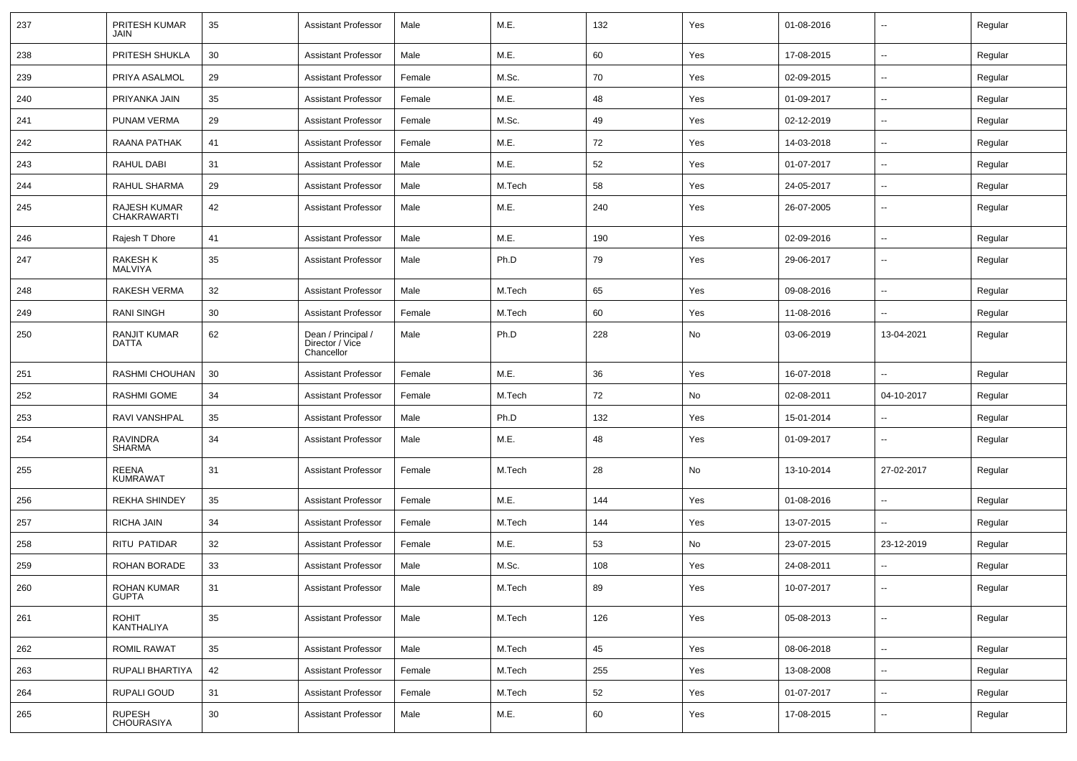| 237 | PRITESH KUMAR<br>JAIN             | 35     | Assistant Professor                                 | Male   | M.E.   | 132 | Yes | 01-08-2016 | $\overline{\phantom{a}}$ | Regular |
|-----|-----------------------------------|--------|-----------------------------------------------------|--------|--------|-----|-----|------------|--------------------------|---------|
| 238 | PRITESH SHUKLA                    | 30     | <b>Assistant Professor</b>                          | Male   | M.E.   | 60  | Yes | 17-08-2015 | $\sim$                   | Regular |
| 239 | PRIYA ASALMOL                     | 29     | <b>Assistant Professor</b>                          | Female | M.Sc.  | 70  | Yes | 02-09-2015 | $\overline{\phantom{a}}$ | Regular |
| 240 | PRIYANKA JAIN                     | 35     | <b>Assistant Professor</b>                          | Female | M.E.   | 48  | Yes | 01-09-2017 |                          | Regular |
| 241 | PUNAM VERMA                       | 29     | <b>Assistant Professor</b>                          | Female | M.Sc.  | 49  | Yes | 02-12-2019 | $\overline{\phantom{a}}$ | Regular |
| 242 | RAANA PATHAK                      | 41     | <b>Assistant Professor</b>                          | Female | M.E.   | 72  | Yes | 14-03-2018 | $\overline{\phantom{a}}$ | Regular |
| 243 | RAHUL DABI                        | 31     | <b>Assistant Professor</b>                          | Male   | M.E.   | 52  | Yes | 01-07-2017 |                          | Regular |
| 244 | RAHUL SHARMA                      | 29     | <b>Assistant Professor</b>                          | Male   | M.Tech | 58  | Yes | 24-05-2017 | $\sim$                   | Regular |
| 245 | RAJESH KUMAR<br>CHAKRAWARTI       | 42     | <b>Assistant Professor</b>                          | Male   | M.E.   | 240 | Yes | 26-07-2005 | $\overline{\phantom{a}}$ | Regular |
| 246 | Rajesh T Dhore                    | 41     | <b>Assistant Professor</b>                          | Male   | M.E.   | 190 | Yes | 02-09-2016 | $\sim$                   | Regular |
| 247 | <b>RAKESH K</b><br><b>MALVIYA</b> | 35     | <b>Assistant Professor</b>                          | Male   | Ph.D   | 79  | Yes | 29-06-2017 | $\overline{\phantom{a}}$ | Regular |
| 248 | RAKESH VERMA                      | 32     | <b>Assistant Professor</b>                          | Male   | M.Tech | 65  | Yes | 09-08-2016 | $\mathbf{u}$             | Regular |
| 249 | <b>RANI SINGH</b>                 | 30     | <b>Assistant Professor</b>                          | Female | M.Tech | 60  | Yes | 11-08-2016 |                          | Regular |
| 250 | <b>RANJIT KUMAR</b><br>DATTA      | 62     | Dean / Principal /<br>Director / Vice<br>Chancellor | Male   | Ph.D   | 228 | No  | 03-06-2019 | 13-04-2021               | Regular |
| 251 | RASHMI CHOUHAN                    | 30     | <b>Assistant Professor</b>                          | Female | M.E.   | 36  | Yes | 16-07-2018 |                          | Regular |
| 252 | <b>RASHMI GOME</b>                | 34     | <b>Assistant Professor</b>                          | Female | M.Tech | 72  | No  | 02-08-2011 | 04-10-2017               | Regular |
| 253 | RAVI VANSHPAL                     | 35     | <b>Assistant Professor</b>                          | Male   | Ph.D   | 132 | Yes | 15-01-2014 |                          | Regular |
| 254 | <b>RAVINDRA</b><br>SHARMA         | 34     | <b>Assistant Professor</b>                          | Male   | M.E.   | 48  | Yes | 01-09-2017 | $\overline{\phantom{a}}$ | Regular |
| 255 | REENA<br><b>KUMRAWAT</b>          | 31     | <b>Assistant Professor</b>                          | Female | M.Tech | 28  | No  | 13-10-2014 | 27-02-2017               | Regular |
| 256 | <b>REKHA SHINDEY</b>              | 35     | <b>Assistant Professor</b>                          | Female | M.E.   | 144 | Yes | 01-08-2016 |                          | Regular |
| 257 | RICHA JAIN                        | 34     | <b>Assistant Professor</b>                          | Female | M.Tech | 144 | Yes | 13-07-2015 | $\sim$                   | Regular |
| 258 | RITU PATIDAR                      | 32     | Assistant Professor                                 | Female | M.E.   | 53  | No  | 23-07-2015 | 23-12-2019               | Regular |
| 259 | ROHAN BORADE                      | 33     | <b>Assistant Professor</b>                          | Male   | M.Sc.  | 108 | Yes | 24-08-2011 | $\overline{\phantom{a}}$ | Regular |
| 260 | ROHAN KUMAR<br><b>GUPTA</b>       | 31     | Assistant Professor                                 | Male   | M.Tech | 89  | Yes | 10-07-2017 |                          | Regular |
| 261 | <b>ROHIT</b><br>KANTHALIYA        | $35\,$ | Assistant Professor                                 | Male   | M.Tech | 126 | Yes | 05-08-2013 | $\sim$                   | Regular |
| 262 | <b>ROMIL RAWAT</b>                | 35     | <b>Assistant Professor</b>                          | Male   | M.Tech | 45  | Yes | 08-06-2018 | $\sim$                   | Regular |
| 263 | RUPALI BHARTIYA                   | 42     | <b>Assistant Professor</b>                          | Female | M.Tech | 255 | Yes | 13-08-2008 | $\sim$                   | Regular |
| 264 | RUPALI GOUD                       | 31     | <b>Assistant Professor</b>                          | Female | M.Tech | 52  | Yes | 01-07-2017 | $\sim$                   | Regular |
| 265 | RUPESH<br>CHOURASIYA              | 30     | Assistant Professor                                 | Male   | M.E.   | 60  | Yes | 17-08-2015 | $\sim$                   | Regular |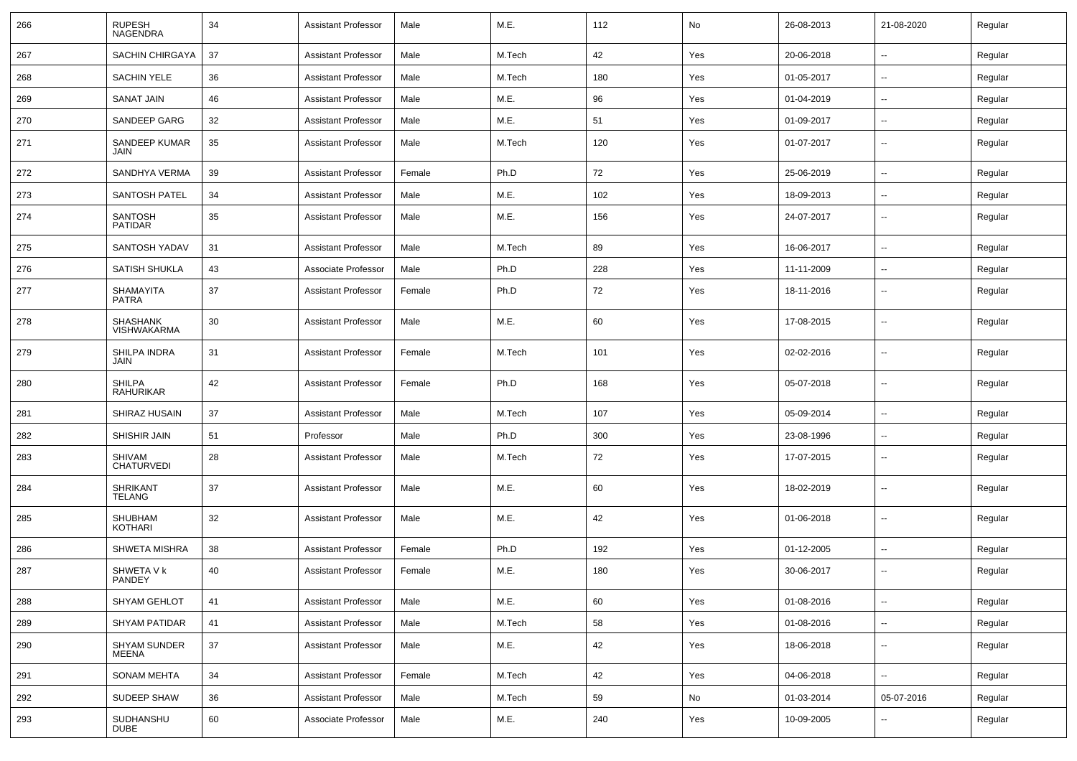| 266 | <b>RUPESH</b><br>NAGENDRA             | 34 | <b>Assistant Professor</b> | Male   | M.E.   | 112 | No  | 26-08-2013 | 21-08-2020               | Regular |
|-----|---------------------------------------|----|----------------------------|--------|--------|-----|-----|------------|--------------------------|---------|
| 267 | SACHIN CHIRGAYA                       | 37 | <b>Assistant Professor</b> | Male   | M.Tech | 42  | Yes | 20-06-2018 | $\sim$                   | Regular |
| 268 | <b>SACHIN YELE</b>                    | 36 | <b>Assistant Professor</b> | Male   | M.Tech | 180 | Yes | 01-05-2017 | $\overline{\phantom{a}}$ | Regular |
| 269 | <b>SANAT JAIN</b>                     | 46 | <b>Assistant Professor</b> | Male   | M.E.   | 96  | Yes | 01-04-2019 | $\overline{\phantom{a}}$ | Regular |
| 270 | <b>SANDEEP GARG</b>                   | 32 | <b>Assistant Professor</b> | Male   | M.E.   | 51  | Yes | 01-09-2017 | ۰.                       | Regular |
| 271 | SANDEEP KUMAR<br>JAIN                 | 35 | <b>Assistant Professor</b> | Male   | M.Tech | 120 | Yes | 01-07-2017 | $\overline{\phantom{a}}$ | Regular |
| 272 | SANDHYA VERMA                         | 39 | <b>Assistant Professor</b> | Female | Ph.D   | 72  | Yes | 25-06-2019 | $\sim$                   | Regular |
| 273 | <b>SANTOSH PATEL</b>                  | 34 | <b>Assistant Professor</b> | Male   | M.E.   | 102 | Yes | 18-09-2013 | $\overline{\phantom{a}}$ | Regular |
| 274 | <b>SANTOSH</b><br><b>PATIDAR</b>      | 35 | <b>Assistant Professor</b> | Male   | M.E.   | 156 | Yes | 24-07-2017 | $\overline{\phantom{a}}$ | Regular |
| 275 | SANTOSH YADAV                         | 31 | <b>Assistant Professor</b> | Male   | M.Tech | 89  | Yes | 16-06-2017 | $\overline{\phantom{a}}$ | Regular |
| 276 | <b>SATISH SHUKLA</b>                  | 43 | Associate Professor        | Male   | Ph.D   | 228 | Yes | 11-11-2009 | $\overline{\phantom{a}}$ | Regular |
| 277 | SHAMAYITA<br>PATRA                    | 37 | <b>Assistant Professor</b> | Female | Ph.D   | 72  | Yes | 18-11-2016 | --                       | Regular |
| 278 | <b>SHASHANK</b><br><b>VISHWAKARMA</b> | 30 | <b>Assistant Professor</b> | Male   | M.E.   | 60  | Yes | 17-08-2015 | --                       | Regular |
| 279 | SHILPA INDRA<br>JAIN                  | 31 | <b>Assistant Professor</b> | Female | M.Tech | 101 | Yes | 02-02-2016 | $\overline{a}$           | Regular |
| 280 | <b>SHILPA</b><br>RAHURIKAR            | 42 | <b>Assistant Professor</b> | Female | Ph.D   | 168 | Yes | 05-07-2018 | --                       | Regular |
| 281 | SHIRAZ HUSAIN                         | 37 | <b>Assistant Professor</b> | Male   | M.Tech | 107 | Yes | 05-09-2014 | --                       | Regular |
| 282 | SHISHIR JAIN                          | 51 | Professor                  | Male   | Ph.D   | 300 | Yes | 23-08-1996 | ۰.                       | Regular |
| 283 | SHIVAM<br><b>CHATURVEDI</b>           | 28 | <b>Assistant Professor</b> | Male   | M.Tech | 72  | Yes | 17-07-2015 | $\overline{\phantom{a}}$ | Regular |
| 284 | <b>SHRIKANT</b><br><b>TELANG</b>      | 37 | <b>Assistant Professor</b> | Male   | M.E.   | 60  | Yes | 18-02-2019 | $\overline{a}$           | Regular |
| 285 | SHUBHAM<br><b>KOTHARI</b>             | 32 | <b>Assistant Professor</b> | Male   | M.E.   | 42  | Yes | 01-06-2018 | $\overline{a}$           | Regular |
| 286 | <b>SHWETA MISHRA</b>                  | 38 | <b>Assistant Professor</b> | Female | Ph.D   | 192 | Yes | 01-12-2005 | $\sim$                   | Regular |
| 287 | SHWETA V k<br>PANDEY                  | 40 | <b>Assistant Professor</b> | Female | M.E.   | 180 | Yes | 30-06-2017 | $\overline{\phantom{a}}$ | Regular |
| 288 | SHYAM GEHLOT                          | 41 | <b>Assistant Professor</b> | Male   | M.E.   | 60  | Yes | 01-08-2016 | $\sim$                   | Regular |
| 289 | <b>SHYAM PATIDAR</b>                  | 41 | <b>Assistant Professor</b> | Male   | M.Tech | 58  | Yes | 01-08-2016 | $\sim$                   | Regular |
| 290 | SHYAM SUNDER<br>MEENA                 | 37 | <b>Assistant Professor</b> | Male   | M.E.   | 42  | Yes | 18-06-2018 | $\sim$                   | Regular |
| 291 | <b>SONAM MEHTA</b>                    | 34 | <b>Assistant Professor</b> | Female | M.Tech | 42  | Yes | 04-06-2018 | $\sim$                   | Regular |
| 292 | SUDEEP SHAW                           | 36 | <b>Assistant Professor</b> | Male   | M.Tech | 59  | No  | 01-03-2014 | 05-07-2016               | Regular |
| 293 | SUDHANSHU<br><b>DUBE</b>              | 60 | Associate Professor        | Male   | M.E.   | 240 | Yes | 10-09-2005 | ۰.                       | Regular |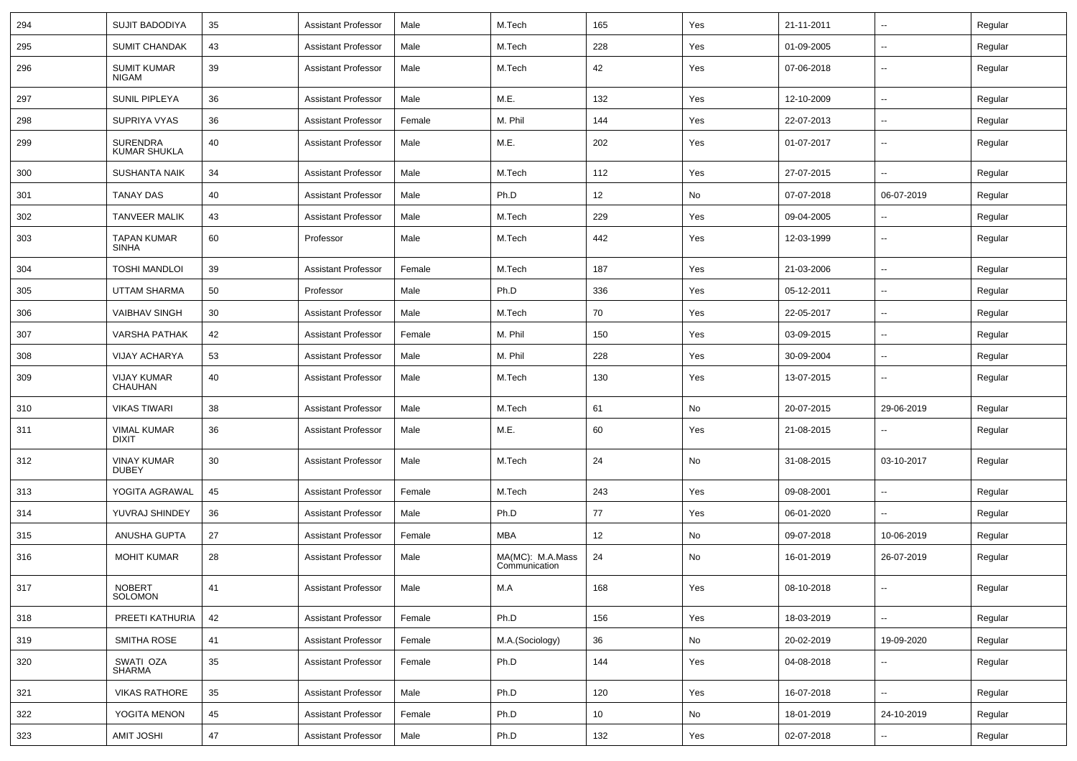| 294 | <b>SUJIT BADODIYA</b>                  | 35     | Assistant Professor        | Male   | M.Tech                            | 165 | Yes | 21-11-2011 | $\overline{\phantom{a}}$ | Regular |
|-----|----------------------------------------|--------|----------------------------|--------|-----------------------------------|-----|-----|------------|--------------------------|---------|
| 295 | <b>SUMIT CHANDAK</b>                   | 43     | Assistant Professor        | Male   | M.Tech                            | 228 | Yes | 01-09-2005 | -−                       | Regular |
| 296 | <b>SUMIT KUMAR</b><br><b>NIGAM</b>     | 39     | <b>Assistant Professor</b> | Male   | M.Tech                            | 42  | Yes | 07-06-2018 | ⊷.                       | Regular |
| 297 | <b>SUNIL PIPLEYA</b>                   | 36     | <b>Assistant Professor</b> | Male   | M.E.                              | 132 | Yes | 12-10-2009 | ⊷.                       | Regular |
| 298 | SUPRIYA VYAS                           | 36     | <b>Assistant Professor</b> | Female | M. Phil                           | 144 | Yes | 22-07-2013 | −−                       | Regular |
| 299 | <b>SURENDRA</b><br><b>KUMAR SHUKLA</b> | 40     | <b>Assistant Professor</b> | Male   | M.E.                              | 202 | Yes | 01-07-2017 | -−                       | Regular |
| 300 | <b>SUSHANTA NAIK</b>                   | 34     | <b>Assistant Professor</b> | Male   | M.Tech                            | 112 | Yes | 27-07-2015 |                          | Regular |
| 301 | <b>TANAY DAS</b>                       | 40     | <b>Assistant Professor</b> | Male   | Ph.D                              | 12  | No  | 07-07-2018 | 06-07-2019               | Regular |
| 302 | <b>TANVEER MALIK</b>                   | 43     | <b>Assistant Professor</b> | Male   | M.Tech                            | 229 | Yes | 09-04-2005 | ⊷.                       | Regular |
| 303 | <b>TAPAN KUMAR</b><br><b>SINHA</b>     | 60     | Professor                  | Male   | M.Tech                            | 442 | Yes | 12-03-1999 | ⊷.                       | Regular |
| 304 | TOSHI MANDLOI                          | 39     | Assistant Professor        | Female | M.Tech                            | 187 | Yes | 21-03-2006 | н.                       | Regular |
| 305 | UTTAM SHARMA                           | 50     | Professor                  | Male   | Ph.D                              | 336 | Yes | 05-12-2011 | -−                       | Regular |
| 306 | <b>VAIBHAV SINGH</b>                   | 30     | <b>Assistant Professor</b> | Male   | M.Tech                            | 70  | Yes | 22-05-2017 | --                       | Regular |
| 307 | <b>VARSHA PATHAK</b>                   | 42     | <b>Assistant Professor</b> | Female | M. Phil                           | 150 | Yes | 03-09-2015 | --                       | Regular |
| 308 | <b>VIJAY ACHARYA</b>                   | 53     | <b>Assistant Professor</b> | Male   | M. Phil                           | 228 | Yes | 30-09-2004 | ⊷.                       | Regular |
| 309 | <b>VIJAY KUMAR</b><br>CHAUHAN          | 40     | <b>Assistant Professor</b> | Male   | M.Tech                            | 130 | Yes | 13-07-2015 | ⊷.                       | Regular |
| 310 | <b>VIKAS TIWARI</b>                    | 38     | <b>Assistant Professor</b> | Male   | M.Tech                            | 61  | No  | 20-07-2015 | 29-06-2019               | Regular |
| 311 | <b>VIMAL KUMAR</b><br><b>DIXIT</b>     | 36     | <b>Assistant Professor</b> | Male   | M.E.                              | 60  | Yes | 21-08-2015 | $\overline{\phantom{a}}$ | Regular |
| 312 | <b>VINAY KUMAR</b><br><b>DUBEY</b>     | 30     | <b>Assistant Professor</b> | Male   | M.Tech                            | 24  | No  | 31-08-2015 | 03-10-2017               | Regular |
| 313 | YOGITA AGRAWAL                         | 45     | <b>Assistant Professor</b> | Female | M.Tech                            | 243 | Yes | 09-08-2001 | -−                       | Regular |
| 314 | YUVRAJ SHINDEY                         | 36     | <b>Assistant Professor</b> | Male   | Ph.D                              | 77  | Yes | 06-01-2020 |                          | Regular |
| 315 | ANUSHA GUPTA                           | 27     | <b>Assistant Professor</b> | Female | MBA                               | 12  | No  | 09-07-2018 | 10-06-2019               | Regular |
| 316 | <b>MOHIT KUMAR</b>                     | 28     | <b>Assistant Professor</b> | Male   | MA(MC): M.A.Mass<br>Communication | 24  | No  | 16-01-2019 | 26-07-2019               | Regular |
| 317 | NOBERT<br>SOLOMON                      | 41     | Assistant Professor        | Male   | $M.A$                             | 168 | Yes | 08-10-2018 |                          | Regular |
| 318 | PREETI KATHURIA                        | 42     | <b>Assistant Professor</b> | Female | Ph.D                              | 156 | Yes | 18-03-2019 | ω.                       | Regular |
| 319 | SMITHA ROSE                            | 41     | <b>Assistant Professor</b> | Female | M.A.(Sociology)                   | 36  | No  | 20-02-2019 | 19-09-2020               | Regular |
| 320 | SWATI OZA<br>SHARMA                    | $35\,$ | <b>Assistant Professor</b> | Female | Ph.D                              | 144 | Yes | 04-08-2018 | н,                       | Regular |
| 321 | <b>VIKAS RATHORE</b>                   | 35     | <b>Assistant Professor</b> | Male   | Ph.D                              | 120 | Yes | 16-07-2018 | Щ.                       | Regular |
| 322 | YOGITA MENON                           | 45     | <b>Assistant Professor</b> | Female | Ph.D                              | 10  | No  | 18-01-2019 | 24-10-2019               | Regular |
| 323 | <b>AMIT JOSHI</b>                      | 47     | <b>Assistant Professor</b> | Male   | Ph.D                              | 132 | Yes | 02-07-2018 | н,                       | Regular |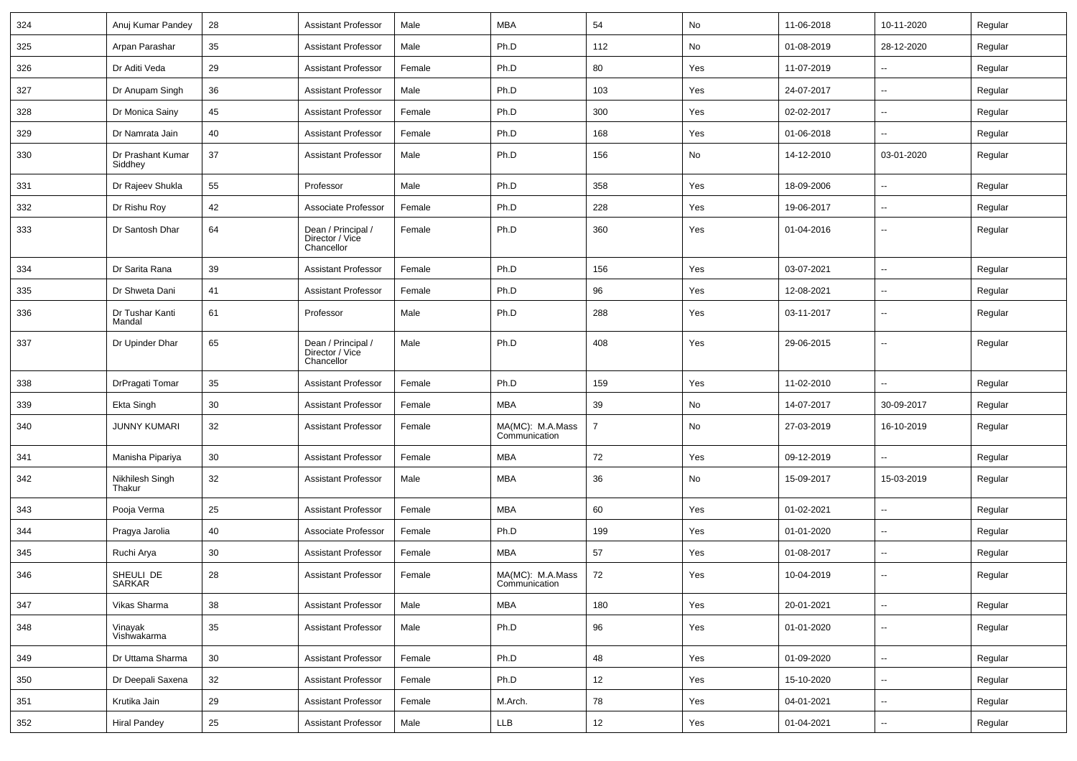| 324 | Anuj Kumar Pandey            | 28     | Assistant Professor                                 | Male   | <b>MBA</b>                        | 54             | No  | 11-06-2018 | 10-11-2020               | Regular |
|-----|------------------------------|--------|-----------------------------------------------------|--------|-----------------------------------|----------------|-----|------------|--------------------------|---------|
| 325 | Arpan Parashar               | 35     | <b>Assistant Professor</b>                          | Male   | Ph.D                              | 112            | No  | 01-08-2019 | 28-12-2020               | Regular |
| 326 | Dr Aditi Veda                | 29     | <b>Assistant Professor</b>                          | Female | Ph.D                              | 80             | Yes | 11-07-2019 | --                       | Regular |
| 327 | Dr Anupam Singh              | 36     | <b>Assistant Professor</b>                          | Male   | Ph.D                              | 103            | Yes | 24-07-2017 | ۰.                       | Regular |
| 328 | Dr Monica Sainy              | 45     | <b>Assistant Professor</b>                          | Female | Ph.D                              | 300            | Yes | 02-02-2017 | ۰.                       | Regular |
| 329 | Dr Namrata Jain              | 40     | <b>Assistant Professor</b>                          | Female | Ph.D                              | 168            | Yes | 01-06-2018 | u.                       | Regular |
| 330 | Dr Prashant Kumar<br>Siddhey | 37     | <b>Assistant Professor</b>                          | Male   | Ph.D                              | 156            | No  | 14-12-2010 | 03-01-2020               | Regular |
| 331 | Dr Rajeev Shukla             | 55     | Professor                                           | Male   | Ph.D                              | 358            | Yes | 18-09-2006 | Ξ.                       | Regular |
| 332 | Dr Rishu Roy                 | 42     | Associate Professor                                 | Female | Ph.D                              | 228            | Yes | 19-06-2017 | --                       | Regular |
| 333 | Dr Santosh Dhar              | 64     | Dean / Principal /<br>Director / Vice<br>Chancellor | Female | Ph.D                              | 360            | Yes | 01-04-2016 | Ξ.                       | Regular |
| 334 | Dr Sarita Rana               | 39     | <b>Assistant Professor</b>                          | Female | Ph.D                              | 156            | Yes | 03-07-2021 | $\overline{\phantom{a}}$ | Regular |
| 335 | Dr Shweta Dani               | 41     | <b>Assistant Professor</b>                          | Female | Ph.D                              | 96             | Yes | 12-08-2021 | $\overline{\phantom{a}}$ | Regular |
| 336 | Dr Tushar Kanti<br>Mandal    | 61     | Professor                                           | Male   | Ph.D                              | 288            | Yes | 03-11-2017 | --                       | Regular |
| 337 | Dr Upinder Dhar              | 65     | Dean / Principal /<br>Director / Vice<br>Chancellor | Male   | Ph.D                              | 408            | Yes | 29-06-2015 | ۰.                       | Regular |
| 338 | DrPragati Tomar              | 35     | <b>Assistant Professor</b>                          | Female | Ph.D                              | 159            | Yes | 11-02-2010 | u.                       | Regular |
| 339 | Ekta Singh                   | 30     | <b>Assistant Professor</b>                          | Female | <b>MBA</b>                        | 39             | No  | 14-07-2017 | 30-09-2017               | Regular |
| 340 | <b>JUNNY KUMARI</b>          | 32     | <b>Assistant Professor</b>                          | Female | MA(MC): M.A.Mass<br>Communication | $\overline{7}$ | No  | 27-03-2019 | 16-10-2019               | Regular |
| 341 | Manisha Pipariya             | 30     | <b>Assistant Professor</b>                          | Female | <b>MBA</b>                        | 72             | Yes | 09-12-2019 | --                       | Regular |
| 342 | Nikhilesh Singh<br>Thakur    | 32     | <b>Assistant Professor</b>                          | Male   | <b>MBA</b>                        | 36             | No  | 15-09-2017 | 15-03-2019               | Regular |
| 343 | Pooja Verma                  | 25     | <b>Assistant Professor</b>                          | Female | <b>MBA</b>                        | 60             | Yes | 01-02-2021 | u.                       | Regular |
| 344 | Pragya Jarolia               | 40     | Associate Professor                                 | Female | Ph.D                              | 199            | Yes | 01-01-2020 | $\sim$                   | Regular |
| 345 | Ruchi Arya                   | 30     | <b>Assistant Professor</b>                          | Female | <b>MBA</b>                        | 57             | Yes | 01-08-2017 | $\overline{\phantom{a}}$ | Regular |
| 346 | SHEULI DE<br>SARKAR          | 28     | <b>Assistant Professor</b>                          | Female | MA(MC): M.A.Mass<br>Communication | 72             | Yes | 10-04-2019 | --                       | Regular |
| 347 | Vikas Sharma                 | 38     | <b>Assistant Professor</b>                          | Male   | <b>MBA</b>                        | 180            | Yes | 20-01-2021 | $\sim$                   | Regular |
| 348 | Vinayak<br>Vishwakarma       | $35\,$ | <b>Assistant Professor</b>                          | Male   | Ph.D                              | 96             | Yes | 01-01-2020 | --                       | Regular |
| 349 | Dr Uttama Sharma             | $30\,$ | Assistant Professor                                 | Female | Ph.D                              | 48             | Yes | 01-09-2020 | ш.                       | Regular |
| 350 | Dr Deepali Saxena            | 32     | <b>Assistant Professor</b>                          | Female | Ph.D                              | 12             | Yes | 15-10-2020 | $\overline{\phantom{a}}$ | Regular |
| 351 | Krutika Jain                 | 29     | <b>Assistant Professor</b>                          | Female | M.Arch.                           | 78             | Yes | 04-01-2021 | $\sim$                   | Regular |
| 352 | <b>Hiral Pandey</b>          | $25\,$ | <b>Assistant Professor</b>                          | Male   | LLB                               | 12             | Yes | 01-04-2021 | $\sim$                   | Regular |